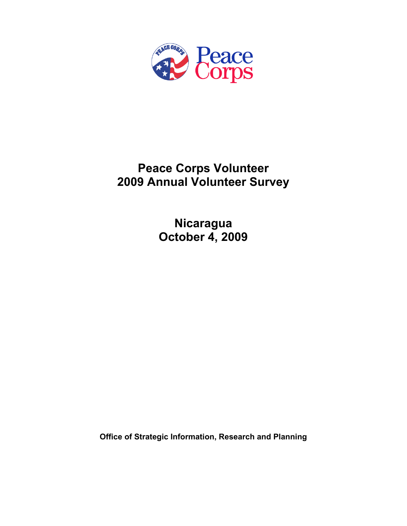

# **Peace Corps Volunteer 2009 Annual Volunteer Survey**

**Nicaragua October 4, 2009** 

**Office of Strategic Information, Research and Planning**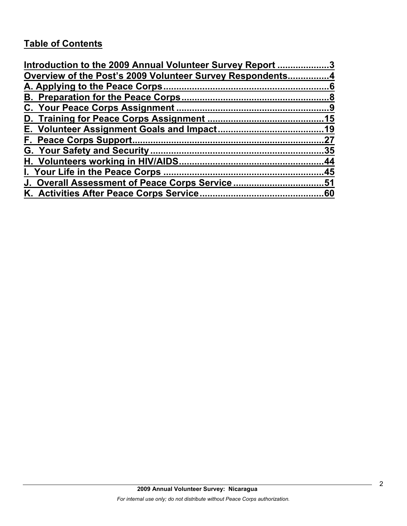# **Table of Contents**

| Introduction to the 2009 Annual Volunteer Survey Report 3 |    |
|-----------------------------------------------------------|----|
| Overview of the Post's 2009 Volunteer Survey Respondents4 |    |
|                                                           |    |
|                                                           |    |
|                                                           |    |
|                                                           |    |
|                                                           |    |
|                                                           | 27 |
|                                                           |    |
|                                                           |    |
|                                                           |    |
| J. Overall Assessment of Peace Corps Service51            |    |
|                                                           |    |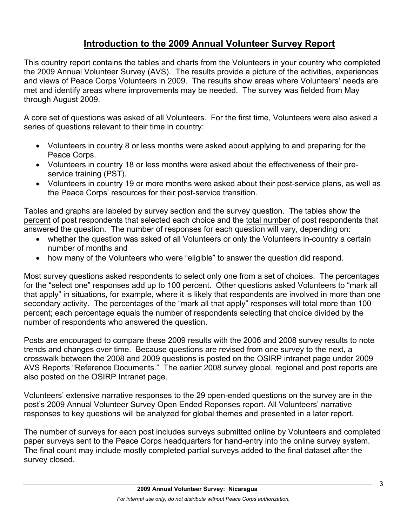# **Introduction to the 2009 Annual Volunteer Survey Report**

This country report contains the tables and charts from the Volunteers in your country who completed the 2009 Annual Volunteer Survey (AVS). The results provide a picture of the activities, experiences and views of Peace Corps Volunteers in 2009. The results show areas where Volunteers' needs are met and identify areas where improvements may be needed. The survey was fielded from May through August 2009.

A core set of questions was asked of all Volunteers. For the first time, Volunteers were also asked a series of questions relevant to their time in country:

- Volunteers in country 8 or less months were asked about applying to and preparing for the Peace Corps.
- Volunteers in country 18 or less months were asked about the effectiveness of their preservice training (PST).
- Volunteers in country 19 or more months were asked about their post-service plans, as well as the Peace Corps' resources for their post-service transition.

Tables and graphs are labeled by survey section and the survey question. The tables show the percent of post respondents that selected each choice and the total number of post respondents that answered the question. The number of responses for each question will vary, depending on:

- whether the question was asked of all Volunteers or only the Volunteers in-country a certain number of months and
- how many of the Volunteers who were "eligible" to answer the question did respond.

Most survey questions asked respondents to select only one from a set of choices. The percentages for the "select one" responses add up to 100 percent. Other questions asked Volunteers to "mark all that apply" in situations, for example, where it is likely that respondents are involved in more than one secondary activity. The percentages of the "mark all that apply" responses will total more than 100 percent; each percentage equals the number of respondents selecting that choice divided by the number of respondents who answered the question.

Posts are encouraged to compare these 2009 results with the 2006 and 2008 survey results to note trends and changes over time. Because questions are revised from one survey to the next, a crosswalk between the 2008 and 2009 questions is posted on the OSIRP intranet page under 2009 AVS Reports "Reference Documents." The earlier 2008 survey global, regional and post reports are also posted on the OSIRP Intranet page.

Volunteers' extensive narrative responses to the 29 open-ended questions on the survey are in the post's 2009 Annual Volunteer Survey Open Ended Reponses report. All Volunteers' narrative responses to key questions will be analyzed for global themes and presented in a later report.

The number of surveys for each post includes surveys submitted online by Volunteers and completed paper surveys sent to the Peace Corps headquarters for hand-entry into the online survey system. The final count may include mostly completed partial surveys added to the final dataset after the survey closed.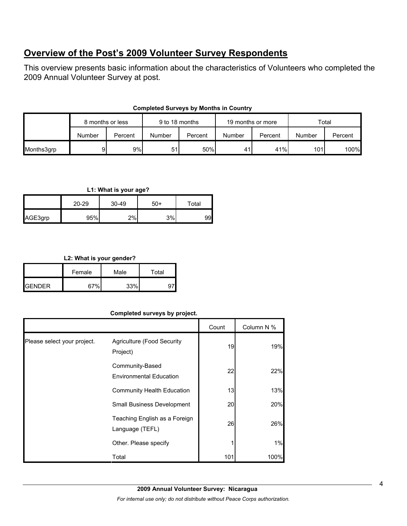# **Overview of the Post's 2009 Volunteer Survey Respondents**

This overview presents basic information about the characteristics of Volunteers who completed the 2009 Annual Volunteer Survey at post.

| <b>Completed Surveys by Months in Country</b> |  |  |  |  |
|-----------------------------------------------|--|--|--|--|
|-----------------------------------------------|--|--|--|--|

|            | 8 months or less |         | 9 to 18 months |         | 19 months or more |         | Total  |         |
|------------|------------------|---------|----------------|---------|-------------------|---------|--------|---------|
|            | Number           | Percent | Number         | Percent | Number            | Percent | Number | Percent |
| Months3grp | 91               | 9%      | 51             | 50%     | 41                | 41%     | 101l   | 100%    |

## **L1: What is your age?**

|         | 20-29 | 30-49 | $50+$ | Total |
|---------|-------|-------|-------|-------|
| AGE3grp | 95%   | 2%    | 3%    | 99    |

## **L2: What is your gender?**

| . .             |        |      |       |  |  |
|-----------------|--------|------|-------|--|--|
|                 | Female | Male | Total |  |  |
| <b>I</b> GENDER | 67%    | 33%  |       |  |  |

# **Completed surveys by project.**

|                             |                                                   | Count | Column N % |
|-----------------------------|---------------------------------------------------|-------|------------|
| Please select your project. | <b>Agriculture (Food Security</b><br>Project)     | 19    | 19%        |
|                             | Community-Based<br><b>Environmental Education</b> | 22    | 22%        |
|                             | <b>Community Health Education</b>                 | 13    | 13%        |
|                             | Small Business Development                        | 20    | 20%        |
|                             | Teaching English as a Foreign<br>Language (TEFL)  | 26    | 26%        |
|                             | Other. Please specify                             |       | 1%         |
|                             | Total                                             | 101   | 100%       |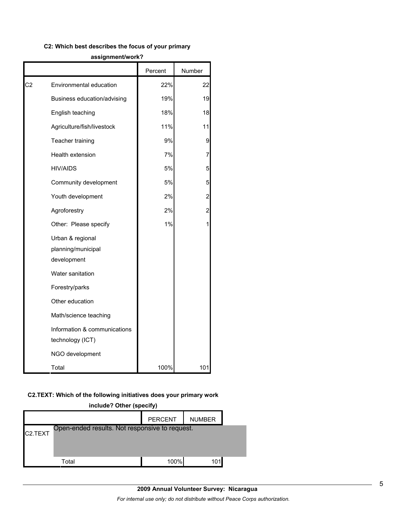#### **C2: Which best describes the focus of your primary**

|    |                                                       | Percent | Number |
|----|-------------------------------------------------------|---------|--------|
| C2 | Environmental education                               | 22%     | 22     |
|    | Business education/advising                           | 19%     | 19     |
|    | English teaching                                      | 18%     | 18     |
|    | Agriculture/fish/livestock                            | 11%     | 11     |
|    | Teacher training                                      | 9%      | 9      |
|    | Health extension                                      | 7%      | 7      |
|    | <b>HIV/AIDS</b>                                       | 5%      | 5      |
|    | Community development                                 | 5%      | 5      |
|    | Youth development                                     | 2%      | 2      |
|    | Agroforestry                                          | 2%      | 2      |
|    | Other: Please specify                                 | 1%      |        |
|    | Urban & regional<br>planning/municipal<br>development |         |        |
|    | Water sanitation                                      |         |        |
|    | Forestry/parks                                        |         |        |
|    | Other education                                       |         |        |
|    | Math/science teaching                                 |         |        |
|    | Information & communications<br>technology (ICT)      |         |        |
|    | NGO development                                       |         |        |
|    | Total                                                 | 100%    | 101    |

#### **assignment/work?**

# **C2.TEXT: Which of the following initiatives does your primary work**

| include? Other (specify)                                               |       |      |     |  |  |
|------------------------------------------------------------------------|-------|------|-----|--|--|
| <b>PERCENT</b><br><b>NUMBER</b>                                        |       |      |     |  |  |
| Open-ended results. Not responsive to request.<br>C <sub>2</sub> .TEXT |       |      |     |  |  |
|                                                                        | Total | 100% | 101 |  |  |

# **2009 Annual Volunteer Survey: Nicaragua**  *For internal use only; do not distribute without Peace Corps authorization.*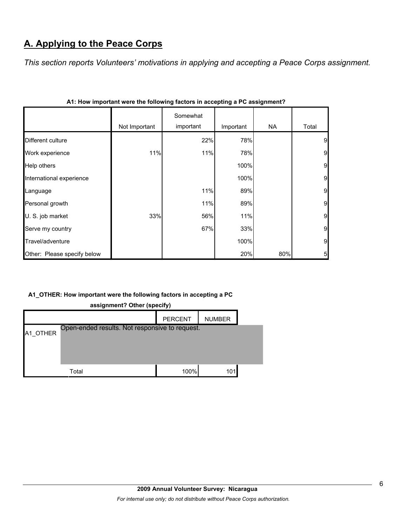# **A. Applying to the Peace Corps**

*This section reports Volunteers' motivations in applying and accepting a Peace Corps assignment.* 

|                             |               |                       | . <u>. .</u><br>- - - - - - <u>-</u> |     |                 |
|-----------------------------|---------------|-----------------------|--------------------------------------|-----|-----------------|
|                             | Not Important | Somewhat<br>important | Important                            | NA  | Total           |
| Different culture           |               | 22%                   | 78%                                  |     | 9               |
| Work experience             | 11%           | 11%                   | 78%                                  |     | $\overline{9}$  |
| Help others                 |               |                       | 100%                                 |     | $\overline{9}$  |
| International experience    |               |                       | 100%                                 |     | 9               |
| Language                    |               | 11%                   | 89%                                  |     | 9               |
| Personal growth             |               | 11%                   | 89%                                  |     | 9               |
| U. S. job market            | 33%           | 56%                   | 11%                                  |     | 9               |
| Serve my country            |               | 67%                   | 33%                                  |     | 9               |
| Travel/adventure            |               |                       | 100%                                 |     | 9               |
| Other: Please specify below |               |                       | 20%                                  | 80% | $5\overline{a}$ |

|  |  |  | A1: How important were the following factors in accepting a PC assignment? |  |
|--|--|--|----------------------------------------------------------------------------|--|
|  |  |  |                                                                            |  |
|  |  |  |                                                                            |  |

# **A1\_OTHER: How important were the following factors in accepting a PC**

| assignment? Other (specify) |                                                |                |               |  |
|-----------------------------|------------------------------------------------|----------------|---------------|--|
|                             |                                                | <b>PERCENT</b> | <b>NUMBER</b> |  |
| A1 OTHER                    | Open-ended results. Not responsive to request. |                |               |  |
|                             | Total                                          | 100%           | 101           |  |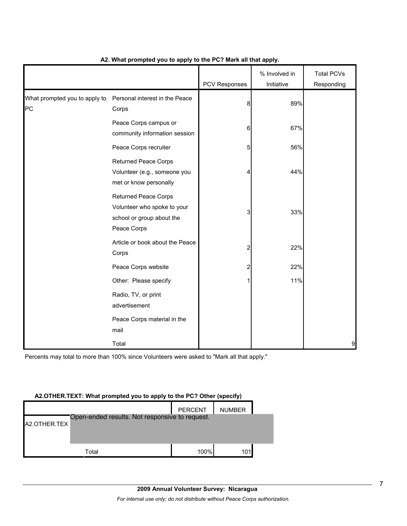|                                     |                                                                                                        | PCV Responses | % Involved in<br>Initiative | <b>Total PCVs</b><br>Responding |
|-------------------------------------|--------------------------------------------------------------------------------------------------------|---------------|-----------------------------|---------------------------------|
| What prompted you to apply to<br>PC | Personal interest in the Peace<br>Corps                                                                | 8             | 89%                         |                                 |
|                                     | Peace Corps campus or<br>community information session                                                 | 6             | 67%                         |                                 |
|                                     | Peace Corps recruiter                                                                                  | 5             | 56%                         |                                 |
|                                     | <b>Returned Peace Corps</b><br>Volunteer (e.g., someone you<br>met or know personally                  | 4             | 44%                         |                                 |
|                                     | <b>Returned Peace Corps</b><br>Volunteer who spoke to your<br>school or group about the<br>Peace Corps | 3             | 33%                         |                                 |
|                                     | Article or book about the Peace<br>Corps                                                               | 2             | 22%                         |                                 |
|                                     | Peace Corps website                                                                                    | 2             | 22%                         |                                 |
|                                     | Other: Please specify                                                                                  | 1             | 11%                         |                                 |
|                                     | Radio, TV, or print<br>advertisement                                                                   |               |                             |                                 |
|                                     | Peace Corps material in the<br>mail                                                                    |               |                             |                                 |
|                                     | Total                                                                                                  |               |                             | 9                               |

# **A2. What prompted you to apply to the PC? Mark all that apply.**

Percents may total to more than 100% since Volunteers were asked to "Mark all that apply."

#### **A2.OTHER.TEXT: What prompted you to apply to the PC? Other (specify)**

|              |                                                | <b>PERCENT</b> | <b>NUMBER</b> |  |
|--------------|------------------------------------------------|----------------|---------------|--|
| A2.OTHER.TEX | Open-ended results. Not responsive to request. |                |               |  |
|              |                                                |                |               |  |
|              |                                                |                |               |  |
|              | Total                                          | 100%           |               |  |

7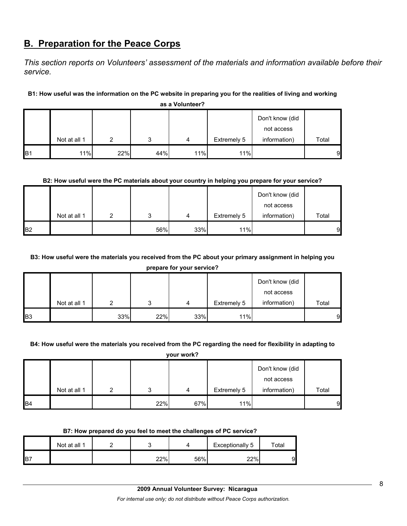# **B. Preparation for the Peace Corps**

*This section reports on Volunteers' assessment of the materials and information available before their service.* 

# **B1: How useful was the information on the PC website in preparing you for the realities of living and working**

|                | as a Volunteer? |     |     |     |             |                                               |       |  |  |  |  |  |
|----------------|-----------------|-----|-----|-----|-------------|-----------------------------------------------|-------|--|--|--|--|--|
|                | Not at all 1    | ົ   | 3   | 4   | Extremely 5 | Don't know (did<br>not access<br>information) | Total |  |  |  |  |  |
| B <sub>1</sub> | 11%             | 22% | 44% | 11% | 11%         |                                               | 9     |  |  |  |  |  |

## **B2: How useful were the PC materials about your country in helping you prepare for your service?**

|           |              |     |     |             | Don't know (did |       |
|-----------|--------------|-----|-----|-------------|-----------------|-------|
|           |              |     |     |             | not access      |       |
|           | Not at all 1 |     | 4   | Extremely 5 | information)    | Total |
| <b>B2</b> |              | 56% | 33% | 11%         |                 | 9     |

## **B3: How useful were the materials you received from the PC about your primary assignment in helping you**

**prepare for your service?**

|            |              |     |     |     |             | Don't know (did            |       |
|------------|--------------|-----|-----|-----|-------------|----------------------------|-------|
|            | Not at all 1 |     | ົ   | 4   | Extremely 5 | not access<br>information) | Total |
| <b>B</b> 3 |              | 33% | 22% | 33% | 11%         |                            | 9     |

#### **B4: How useful were the materials you received from the PC regarding the need for flexibility in adapting to**

**your work?**

|                |              |   |     |     |             | Don't know (did<br>not access |       |
|----------------|--------------|---|-----|-----|-------------|-------------------------------|-------|
|                | Not at all 1 | ົ | ິ   | 4   | Extremely 5 | information)                  | Total |
| B <sub>4</sub> |              |   | 22% | 67% | 11%         |                               | 9     |

#### **B7: How prepared do you feel to meet the challenges of PC service?**

|                 | Not at all 1 |     |     | Exceptionally 5 | $\tau$ otal |
|-----------------|--------------|-----|-----|-----------------|-------------|
| IB <sub>7</sub> |              | 22% | 56% | 22%             | 91          |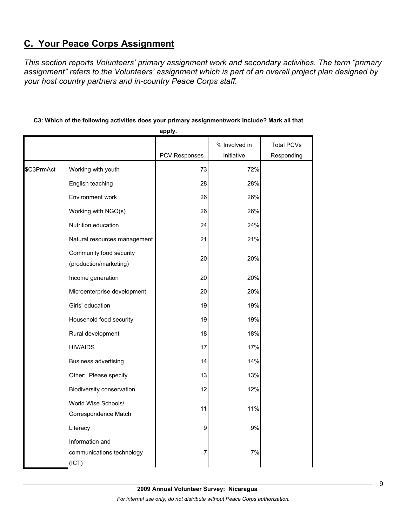# **C. Your Peace Corps Assignment**

*This section reports Volunteers' primary assignment work and secondary activities. The term "primary assignment" refers to the Volunteers' assignment which is part of an overall project plan designed by your host country partners and in-country Peace Corps staff.* 

# **C3: Which of the following activities does your primary assignment/work include? Mark all that**

**apply.**

|            |                                                       |                      | % Involved in<br>Initiative | <b>Total PCVs</b> |
|------------|-------------------------------------------------------|----------------------|-----------------------------|-------------------|
|            |                                                       | <b>PCV Responses</b> |                             | Responding        |
| \$C3PrmAct | Working with youth                                    | 73                   | 72%                         |                   |
|            | English teaching                                      | 28                   | 28%                         |                   |
|            | Environment work                                      | 26                   | 26%                         |                   |
|            | Working with NGO(s)                                   | 26                   | 26%                         |                   |
|            | Nutrition education                                   | 24                   | 24%                         |                   |
|            | Natural resources management                          | 21                   | 21%                         |                   |
|            | Community food security<br>(production/marketing)     | 20                   | 20%                         |                   |
|            | Income generation                                     | 20                   | 20%                         |                   |
|            | Microenterprise development                           | 20                   | 20%                         |                   |
|            | Girls' education                                      | 19                   | 19%                         |                   |
|            | Household food security                               | 19                   | 19%                         |                   |
|            | Rural development                                     | 18                   | 18%                         |                   |
|            | <b>HIV/AIDS</b>                                       | 17                   | 17%                         |                   |
|            | <b>Business advertising</b>                           | 14                   | 14%                         |                   |
|            | Other: Please specify                                 | 13                   | 13%                         |                   |
|            | Biodiversity conservation                             | 12                   | 12%                         |                   |
|            | World Wise Schools/<br>Correspondence Match           | 11                   | 11%                         |                   |
|            | Literacy                                              | 9                    | 9%                          |                   |
|            | Information and<br>communications technology<br>(ICT) | 7                    | 7%                          |                   |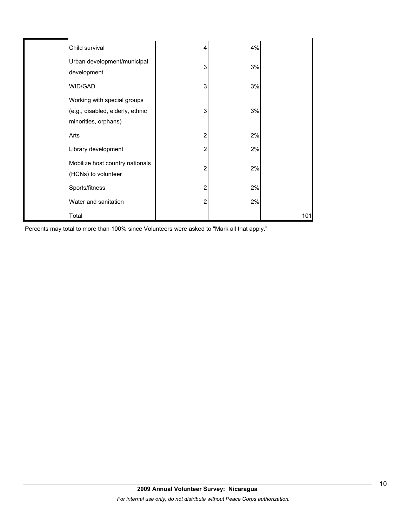| Child survival                                                                          | 4 | 4% |     |
|-----------------------------------------------------------------------------------------|---|----|-----|
| Urban development/municipal<br>development                                              | 3 | 3% |     |
| WID/GAD                                                                                 | 3 | 3% |     |
| Working with special groups<br>(e.g., disabled, elderly, ethnic<br>minorities, orphans) | 3 | 3% |     |
| Arts                                                                                    | 2 | 2% |     |
| Library development                                                                     | 2 | 2% |     |
| Mobilize host country nationals<br>(HCNs) to volunteer                                  | 2 | 2% |     |
| Sports/fitness                                                                          | 2 | 2% |     |
| Water and sanitation                                                                    | 2 | 2% |     |
| Total                                                                                   |   |    | 101 |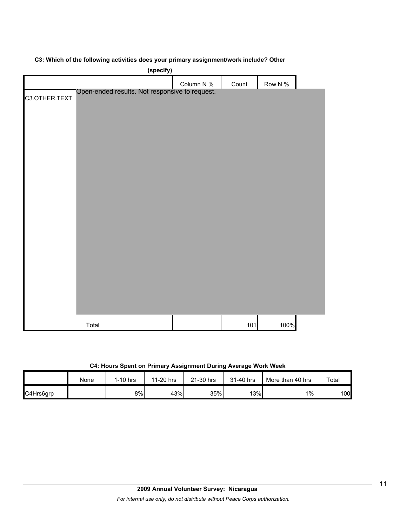## **C3: Which of the following activities does your primary assignment/work include? Other**

|               | (specify)                                      |            |       |         |  |
|---------------|------------------------------------------------|------------|-------|---------|--|
|               |                                                | Column N % | Count | Row N % |  |
| C3.OTHER.TEXT | Open-ended results. Not responsive to request. |            |       |         |  |
|               |                                                |            |       |         |  |
|               |                                                |            |       |         |  |
|               |                                                |            |       |         |  |
|               |                                                |            |       |         |  |
|               |                                                |            |       |         |  |
|               |                                                |            |       |         |  |
|               |                                                |            |       |         |  |
|               |                                                |            |       |         |  |
|               |                                                |            |       |         |  |
|               |                                                |            |       |         |  |
|               |                                                |            |       |         |  |
|               |                                                |            |       |         |  |
|               |                                                |            |       |         |  |
|               |                                                |            |       |         |  |
|               |                                                |            |       |         |  |
|               | Total                                          |            | 101   | 100%    |  |

**C4: Hours Spent on Primary Assignment During Average Work Week**

|           | None | 1-10 hrs | 11-20 hrs | 21-30 hrs | 31-40 hrs | More than 40 hrs | Total |
|-----------|------|----------|-----------|-----------|-----------|------------------|-------|
| C4Hrs6grp |      | 8%l      | 43%       | 35%       | 13%       | $1\%$            | 100   |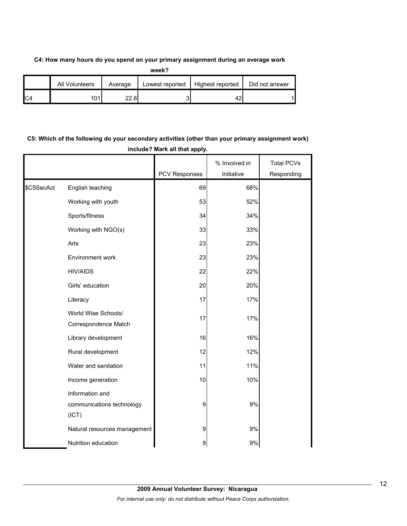## **C4: How many hours do you spend on your primary assignment during an average work**

| ۰,<br>٠<br>× |
|--------------|

|                | All Volunteers | Average | Lowest reported | Highest reported | Did not answer |
|----------------|----------------|---------|-----------------|------------------|----------------|
| C <sub>4</sub> | 101            | 22.6    |                 |                  |                |

# **C5: Which of the following do your secondary activities (other than your primary assignment work) include? Mark all that apply.**

|            |                                                       | PCV Responses | % Involved in<br>Initiative | <b>Total PCVs</b><br>Responding |
|------------|-------------------------------------------------------|---------------|-----------------------------|---------------------------------|
| \$C5SecAct | English teaching                                      | 69            | 68%                         |                                 |
|            | Working with youth                                    | 53            | 52%                         |                                 |
|            | Sports/fitness                                        | 34            | 34%                         |                                 |
|            | Working with NGO(s)                                   | 33            | 33%                         |                                 |
|            | Arts                                                  | 23            | 23%                         |                                 |
|            | Environment work                                      | 23            | 23%                         |                                 |
|            | <b>HIV/AIDS</b>                                       | 22            | 22%                         |                                 |
|            | Girls' education                                      | 20            | 20%                         |                                 |
|            | Literacy                                              | 17            | 17%                         |                                 |
|            | World Wise Schools/<br>Correspondence Match           | 17            | 17%                         |                                 |
|            | Library development                                   | 16            | 16%                         |                                 |
|            | Rural development                                     | 12            | 12%                         |                                 |
|            | Water and sanitation                                  | 11            | 11%                         |                                 |
|            | Income generation                                     | 10            | 10%                         |                                 |
|            | Information and<br>communications technology<br>(ICT) | 9             | 9%                          |                                 |
|            | Natural resources management                          | 9             | 9%                          |                                 |
|            | Nutrition education                                   | 9             | 9%                          |                                 |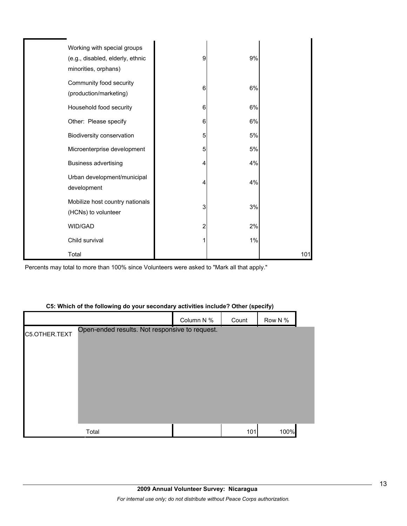| Working with special groups<br>(e.g., disabled, elderly, ethnic<br>minorities, orphans) | 9 | 9% |     |
|-----------------------------------------------------------------------------------------|---|----|-----|
| Community food security<br>(production/marketing)                                       | 6 | 6% |     |
| Household food security                                                                 | 6 | 6% |     |
| Other: Please specify                                                                   | 6 | 6% |     |
| Biodiversity conservation                                                               | 5 | 5% |     |
| Microenterprise development                                                             | 5 | 5% |     |
| Business advertising                                                                    | 4 | 4% |     |
| Urban development/municipal<br>development                                              | 4 | 4% |     |
| Mobilize host country nationals<br>(HCNs) to volunteer                                  | 3 | 3% |     |
| WID/GAD                                                                                 | 2 | 2% |     |
| Child survival                                                                          |   | 1% |     |
| Total                                                                                   |   |    | 101 |

Percents may total to more than 100% since Volunteers were asked to "Mark all that apply."

## **C5: Which of the following do your secondary activities include? Other (specify)**

|               |                                                | Column N % | Count | Row N % |  |
|---------------|------------------------------------------------|------------|-------|---------|--|
| C5.OTHER.TEXT | Open-ended results. Not responsive to request. |            |       |         |  |
|               |                                                |            |       |         |  |
|               |                                                |            |       |         |  |
|               |                                                |            |       |         |  |
|               |                                                |            |       |         |  |
|               |                                                |            |       |         |  |
|               |                                                |            |       |         |  |
|               | Total                                          |            | 101   | 100%    |  |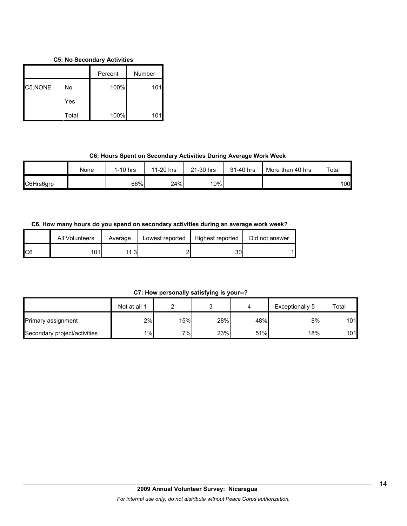## **C5: No Secondary Activities**

|         |       | Percent | Number |
|---------|-------|---------|--------|
| C5.NONE | No    | 100%    | 101    |
|         | Yes   |         |        |
|         | Total | 100%    |        |

# **C6: Hours Spent on Secondary Activities During Average Work Week**

|           | None | $1-10$ hrs | 11-20 hrs | 21-30 hrs | 31-40 hrs | More than 40 hrs | Total |
|-----------|------|------------|-----------|-----------|-----------|------------------|-------|
| C6Hrs6grp |      | 66%        | 24%       | 10%       |           |                  | 100   |

# **C6. How many hours do you spend on secondary activities during an average work week?**

|     | All Volunteers | Average | Lowest reported | Highest reported | Did not answer |
|-----|----------------|---------|-----------------|------------------|----------------|
| IC6 | 101            | 1.3     |                 | 30               |                |

**C7: How personally satisfying is your--?**

|                              | Not at all 1 |     |     |     | Exceptionally 5  | Total |
|------------------------------|--------------|-----|-----|-----|------------------|-------|
| Primary assignment           | 2%           | 15% | 28% | 48% | 8%               | 101   |
| Secondary project/activities | $1\%$        | 7%  | 23% | 51% | 18% <sub>I</sub> | 101   |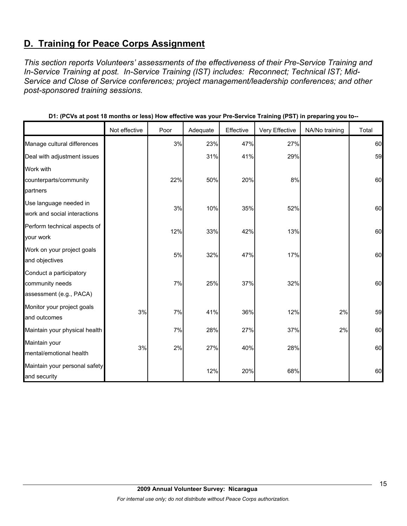# **D. Training for Peace Corps Assignment**

*This section reports Volunteers' assessments of the effectiveness of their Pre-Service Training and In-Service Training at post. In-Service Training (IST) includes: Reconnect; Technical IST; Mid-Service and Close of Service conferences; project management/leadership conferences; and other post-sponsored training sessions.* 

|                               | Not effective | Poor | Adequate | Effective | Very Effective | NA/No training | Total |
|-------------------------------|---------------|------|----------|-----------|----------------|----------------|-------|
| Manage cultural differences   |               | 3%   | 23%      | 47%       | 27%            |                | 60    |
| Deal with adjustment issues   |               |      | 31%      | 41%       | 29%            |                | 59    |
| Work with                     |               |      |          |           |                |                |       |
| counterparts/community        |               | 22%  | 50%      | 20%       | 8%             |                | 60    |
| partners                      |               |      |          |           |                |                |       |
| Use language needed in        |               | 3%   | 10%      | 35%       | 52%            |                | 60    |
| work and social interactions  |               |      |          |           |                |                |       |
| Perform technical aspects of  |               | 12%  | 33%      | 42%       | 13%            |                | 60    |
| your work                     |               |      |          |           |                |                |       |
| Work on your project goals    |               | 5%   | 32%      | 47%       | 17%            |                | 60    |
| and objectives                |               |      |          |           |                |                |       |
| Conduct a participatory       |               |      |          |           |                |                |       |
| community needs               |               | 7%   | 25%      | 37%       | 32%            |                | 60    |
| assessment (e.g., PACA)       |               |      |          |           |                |                |       |
| Monitor your project goals    | 3%            | 7%   | 41%      | 36%       | 12%            | 2%             | 59    |
| and outcomes                  |               |      |          |           |                |                |       |
| Maintain your physical health |               | 7%   | 28%      | 27%       | 37%            | 2%             | 60    |
| Maintain your                 |               |      |          |           |                |                |       |
| mental/emotional health       | 3%            | 2%   | 27%      | 40%       | 28%            |                | 60    |
| Maintain your personal safety |               |      | 12%      | 20%       | 68%            |                | 60    |
| and security                  |               |      |          |           |                |                |       |

|  | D1: (PCVs at post 18 months or less) How effective was your Pre-Service Training (PST) in preparing you to-- |
|--|--------------------------------------------------------------------------------------------------------------|
|--|--------------------------------------------------------------------------------------------------------------|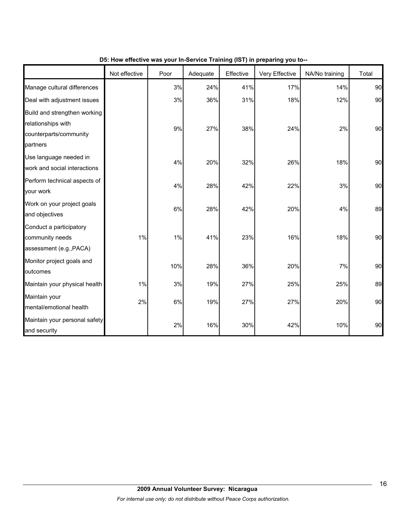|                                                                                          | Not effective | Poor | Adequate | Effective | Very Effective | NA/No training | Total |
|------------------------------------------------------------------------------------------|---------------|------|----------|-----------|----------------|----------------|-------|
| Manage cultural differences                                                              |               | 3%   | 24%      | 41%       | 17%            | 14%            | 90    |
| Deal with adjustment issues                                                              |               | 3%   | 36%      | 31%       | 18%            | 12%            | 90    |
| Build and strengthen working<br>relationships with<br>counterparts/community<br>partners |               | 9%   | 27%      | 38%       | 24%            | 2%             | 90    |
| Use language needed in<br>work and social interactions                                   |               | 4%   | 20%      | 32%       | 26%            | 18%            | 90    |
| Perform technical aspects of<br>your work                                                |               | 4%   | 28%      | 42%       | 22%            | 3%             | 90    |
| Work on your project goals<br>and objectives                                             |               | 6%   | 28%      | 42%       | 20%            | 4%             | 89    |
| Conduct a participatory<br>community needs<br>assessment (e.g., PACA)                    | 1%            | 1%   | 41%      | 23%       | 16%            | 18%            | 90    |
| Monitor project goals and<br>outcomes                                                    |               | 10%  | 28%      | 36%       | 20%            | 7%             | 90    |
| Maintain your physical health                                                            | $1\%$         | 3%   | 19%      | 27%       | 25%            | 25%            | 89    |
| Maintain your<br>mental/emotional health                                                 | 2%            | 6%   | 19%      | 27%       | 27%            | 20%            | 90    |
| Maintain your personal safety<br>and security                                            |               | 2%   | 16%      | 30%       | 42%            | 10%            | 90    |

## **D5: How effective was your In-Service Training (IST) in preparing you to--**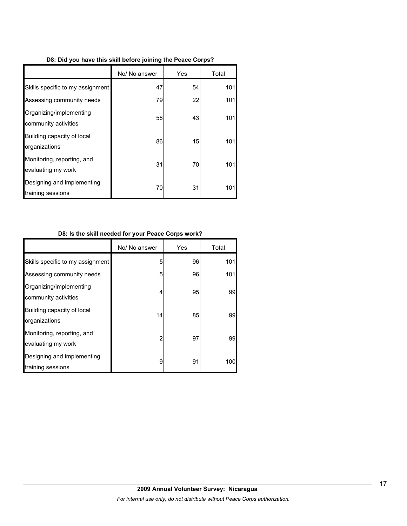| D8: Did you have this skill before joining the Peace Corps? |
|-------------------------------------------------------------|
|-------------------------------------------------------------|

|                                                  | No/ No answer | Yes | Total |
|--------------------------------------------------|---------------|-----|-------|
| Skills specific to my assignment                 | 47            | 54  | 101   |
| Assessing community needs                        | 79            | 22  | 101   |
| Organizing/implementing<br>community activities  | 58            | 43  | 101   |
| Building capacity of local<br>organizations      | 86            | 15  | 101   |
| Monitoring, reporting, and<br>evaluating my work | 31            | 70  | 101   |
| Designing and implementing<br>training sessions  | 70            | 31  | 101   |

# **D8: Is the skill needed for your Peace Corps work?**

|                                                  | No/ No answer | Yes | Total |
|--------------------------------------------------|---------------|-----|-------|
| Skills specific to my assignment                 | 5             | 96  | 101   |
| Assessing community needs                        | 5             | 96  | 101   |
| Organizing/implementing<br>community activities  | 4             | 95  | 99    |
| Building capacity of local<br>organizations      | 14            | 85  | 99    |
| Monitoring, reporting, and<br>evaluating my work | 2             | 97  | 99    |
| Designing and implementing<br>training sessions  | 9             | 91  | 100   |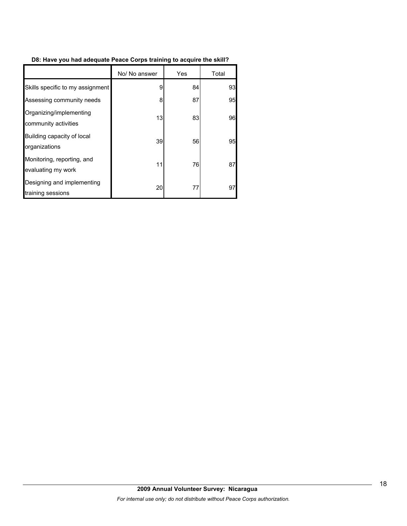# **D8: Have you had adequate Peace Corps training to acquire the skill?**

|                                                  | No/ No answer | Yes | Total |
|--------------------------------------------------|---------------|-----|-------|
| Skills specific to my assignment                 | 9             | 84  | 93    |
| Assessing community needs                        | 8             | 87  | 95    |
| Organizing/implementing<br>community activities  | 13            | 83  | 96    |
| Building capacity of local<br>organizations      | 39            | 56  | 95    |
| Monitoring, reporting, and<br>evaluating my work | 11            | 76  | 87    |
| Designing and implementing<br>training sessions  | 20            | 77  | 97    |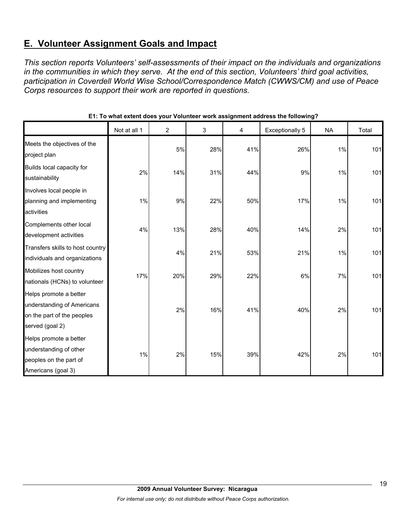# **E. Volunteer Assignment Goals and Impact**

*This section reports Volunteers' self-assessments of their impact on the individuals and organizations in the communities in which they serve. At the end of this section, Volunteers' third goal activities, participation in Coverdell World Wise School/Correspondence Match (CWWS/CM) and use of Peace Corps resources to support their work are reported in questions.* 

|                                                                                                       | Not at all 1 | $\overline{2}$ | 3   | 4   | Exceptionally 5 | <b>NA</b> | Total |
|-------------------------------------------------------------------------------------------------------|--------------|----------------|-----|-----|-----------------|-----------|-------|
| Meets the objectives of the<br>project plan                                                           |              | 5%             | 28% | 41% | 26%             | 1%        | 101   |
| Builds local capacity for<br>sustainability                                                           | 2%           | 14%            | 31% | 44% | 9%              | 1%        | 101   |
| Involves local people in<br>planning and implementing<br>activities                                   | 1%           | 9%             | 22% | 50% | 17%             | 1%        | 101   |
| Complements other local<br>development activities                                                     | 4%           | 13%            | 28% | 40% | 14%             | 2%        | 101   |
| Transfers skills to host country<br>individuals and organizations                                     |              | 4%             | 21% | 53% | 21%             | 1%        | 101   |
| Mobilizes host country<br>nationals (HCNs) to volunteer                                               | 17%          | 20%            | 29% | 22% | 6%              | 7%        | 101   |
| Helps promote a better<br>understanding of Americans<br>on the part of the peoples<br>served (goal 2) |              | 2%             | 16% | 41% | 40%             | 2%        | 101   |
| Helps promote a better<br>understanding of other<br>peoples on the part of<br>Americans (goal 3)      | 1%           | 2%             | 15% | 39% | 42%             | 2%        | 101   |

# **E1: To what extent does your Volunteer work assignment address the following?**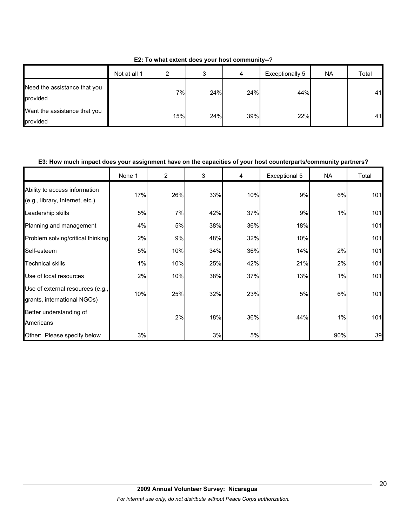|  | E2: To what extent does your host community--? |
|--|------------------------------------------------|
|--|------------------------------------------------|

|                                          | Not at all 1 | ົ   | J   | 4   | Exceptionally 5 | <b>NA</b> | Total |
|------------------------------------------|--------------|-----|-----|-----|-----------------|-----------|-------|
| Need the assistance that you<br>provided |              | 7%  | 24% | 24% | 44%             |           | 41    |
| Want the assistance that you<br>provided |              | 15% | 24% | 39% | 22%             |           | 41    |

## **E3: How much impact does your assignment have on the capacities of your host counterparts/community partners?**

|                                                                  | None 1 | $\overline{2}$ | 3   | 4   | Exceptional 5 | <b>NA</b> | Total |
|------------------------------------------------------------------|--------|----------------|-----|-----|---------------|-----------|-------|
| Ability to access information<br>(e.g., library, Internet, etc.) | 17%    | 26%            | 33% | 10% | 9%            | 6%        | 101   |
| Leadership skills                                                | 5%     | 7%             | 42% | 37% | 9%            | 1%        | 101   |
| Planning and management                                          | 4%     | 5%             | 38% | 36% | 18%           |           | 101   |
| Problem solving/critical thinking                                | 2%     | 9%             | 48% | 32% | 10%           |           | 101   |
| Self-esteem                                                      | 5%     | 10%            | 34% | 36% | 14%           | 2%        | 101   |
| <b>Technical skills</b>                                          | 1%     | 10%            | 25% | 42% | 21%           | 2%        | 101   |
| Use of local resources                                           | 2%     | 10%            | 38% | 37% | 13%           | 1%        | 101   |
| Use of external resources (e.g.,<br>grants, international NGOs)  | 10%    | 25%            | 32% | 23% | 5%            | 6%        | 101   |
| Better understanding of<br>Americans                             |        | 2%             | 18% | 36% | 44%           | 1%        | 101   |
| Other: Please specify below                                      | 3%     |                | 3%  | 5%  |               | 90%       | 39    |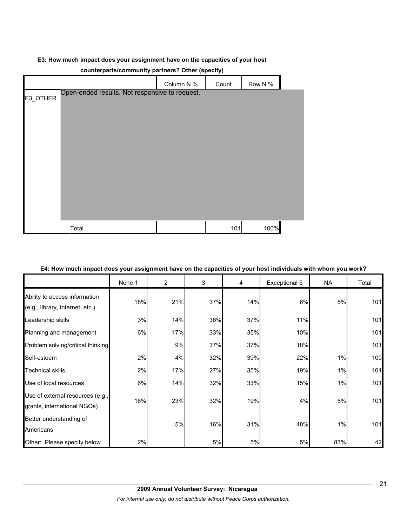## **E3: How much impact does your assignment have on the capacities of your host**

|          |                                                | Column N % | Count | Row N % |  |  |  |
|----------|------------------------------------------------|------------|-------|---------|--|--|--|
| E3_OTHER | Open-ended results. Not responsive to request. |            |       |         |  |  |  |
|          |                                                |            |       |         |  |  |  |
|          |                                                |            |       |         |  |  |  |
|          |                                                |            |       |         |  |  |  |
|          |                                                |            |       |         |  |  |  |
|          |                                                |            |       |         |  |  |  |
|          |                                                |            |       |         |  |  |  |
|          |                                                |            |       |         |  |  |  |
|          |                                                |            |       |         |  |  |  |
|          |                                                |            |       |         |  |  |  |
|          | Total                                          |            | 101   | 100%    |  |  |  |

# **counterparts/community partners? Other (specify)**

|  | E4: How much impact does your assignment have on the capacities of your host individuals with whom you work? |  |
|--|--------------------------------------------------------------------------------------------------------------|--|
|  |                                                                                                              |  |

|                                                                  | None 1 | $\overline{2}$ | 3   | 4   | Exceptional 5 | <b>NA</b> | Total |
|------------------------------------------------------------------|--------|----------------|-----|-----|---------------|-----------|-------|
| Ability to access information<br>(e.g., library, Internet, etc.) | 18%    | 21%            | 37% | 14% | 6%            | 5%        | 101   |
| Leadership skills                                                | 3%     | 14%            | 36% | 37% | 11%           |           | 101   |
| Planning and management                                          | 6%     | 17%            | 33% | 35% | 10%           |           | 101   |
| Problem solving/critical thinking                                |        | 9%             | 37% | 37% | 18%           |           | 101   |
| Self-esteem                                                      | 2%     | 4%             | 32% | 39% | 22%           | 1%        | 100   |
| <b>Technical skills</b>                                          | 2%     | 17%            | 27% | 35% | 19%           | 1%        | 101   |
| Use of local resources                                           | 6%     | 14%            | 32% | 33% | 15%           | 1%        | 101   |
| Use of external resources (e.g.,<br>grants, international NGOs)  | 18%    | 23%            | 32% | 19% | 4%            | 5%        | 101   |
| Better understanding of<br>Americans                             |        | 5%             | 16% | 31% | 48%           | 1%        | 101   |
| Other: Please specify below                                      | 2%     |                | 5%  | 5%  | 5%            | 83%       | 42    |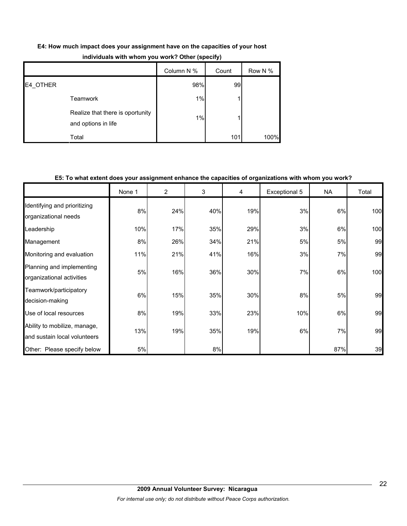| E4: How much impact does your assignment have on the capacities of your host |  |  |  |
|------------------------------------------------------------------------------|--|--|--|
|------------------------------------------------------------------------------|--|--|--|

|          |                                                         | Column N % | Count | Row N % |
|----------|---------------------------------------------------------|------------|-------|---------|
| E4 OTHER |                                                         | 98%        | 99    |         |
|          | <b>Teamwork</b>                                         | 1%         |       |         |
|          | Realize that there is oportunity<br>and options in life | 1%         |       |         |
|          | Total                                                   |            | 101   | 100%    |

# **individuals with whom you work? Other (specify)**

# **E5: To what extent does your assignment enhance the capacities of organizations with whom you work?**

|                                                              | None 1 | $\overline{2}$ | 3   | 4   | Exceptional 5 | <b>NA</b> | Total |
|--------------------------------------------------------------|--------|----------------|-----|-----|---------------|-----------|-------|
| Identifying and prioritizing<br>organizational needs         | 8%     | 24%            | 40% | 19% | 3%            | 6%        | 100   |
| Leadership                                                   | 10%    | 17%            | 35% | 29% | 3%            | 6%        | 100   |
| Management                                                   | 8%     | 26%            | 34% | 21% | 5%            | 5%        | 99    |
| Monitoring and evaluation                                    | 11%    | 21%            | 41% | 16% | 3%            | 7%        | 99    |
| Planning and implementing<br>organizational activities       | 5%     | 16%            | 36% | 30% | 7%            | 6%        | 100   |
| Teamwork/participatory<br>decision-making                    | 6%     | 15%            | 35% | 30% | 8%            | 5%        | 99    |
| Use of local resources                                       | 8%     | 19%            | 33% | 23% | 10%           | 6%        | 99    |
| Ability to mobilize, manage,<br>and sustain local volunteers | 13%    | 19%            | 35% | 19% | 6%            | 7%        | 99    |
| Other: Please specify below                                  | 5%     |                | 8%  |     |               | 87%       | 39    |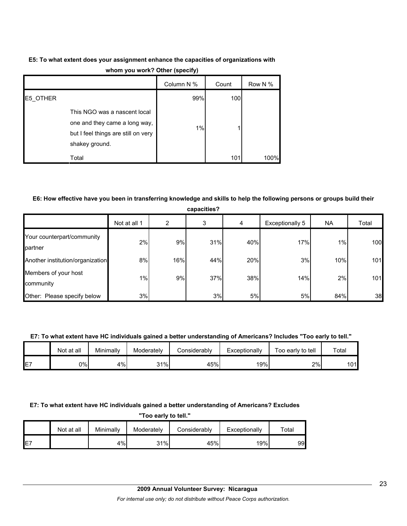# **E5: To what extent does your assignment enhance the capacities of organizations with whom you work? Other (specify)**

|          |                                                                                                                        | . .        |       |         |
|----------|------------------------------------------------------------------------------------------------------------------------|------------|-------|---------|
|          |                                                                                                                        | Column N % | Count | Row N % |
| E5 OTHER |                                                                                                                        | 99%        | 100   |         |
|          | This NGO was a nascent local<br>one and they came a long way,<br>but I feel things are still on very<br>shakey ground. | $1\%$      |       |         |
|          | Total                                                                                                                  |            | 101   | 100%    |

# **E6: How effective have you been in transferring knowledge and skills to help the following persons or groups build their**

| capacities?                           |              |     |     |     |                 |       |       |  |
|---------------------------------------|--------------|-----|-----|-----|-----------------|-------|-------|--|
|                                       | Not at all 1 | 2   | 3   | 4   | Exceptionally 5 | NA    | Total |  |
| Your counterpart/community<br>partner | 2%           | 9%  | 31% | 40% | 17%             | $1\%$ | 100   |  |
| Another institution/organization      | 8%           | 16% | 44% | 20% | 3%              | 10%   | 101   |  |
| Members of your host<br>community     | 1%           | 9%  | 37% | 38% | 14%             | 2%    | 101   |  |
| Other: Please specify below           | 3%           |     | 3%  | 5%  | 5%              | 84%   | 38    |  |

#### **E7: To what extent have HC individuals gained a better understanding of Americans? Includes "Too early to tell."**

|    | Not at all | Minimally | Moderately | Considerablv | Exceptionally | Too early to tell | Total |
|----|------------|-----------|------------|--------------|---------------|-------------------|-------|
| E7 | 0%         | $4\%$     | 31%        | 45%          | 19%           | 2%                | 101   |

#### **E7: To what extent have HC individuals gained a better understanding of Americans? Excludes**

|    | "Too early to tell." |           |            |              |               |       |  |  |
|----|----------------------|-----------|------------|--------------|---------------|-------|--|--|
|    | Not at all           | Minimally | Moderately | Considerably | Exceptionally | ™otal |  |  |
| E7 |                      | 4%        | 31%        | 45%          | 19%           | 99    |  |  |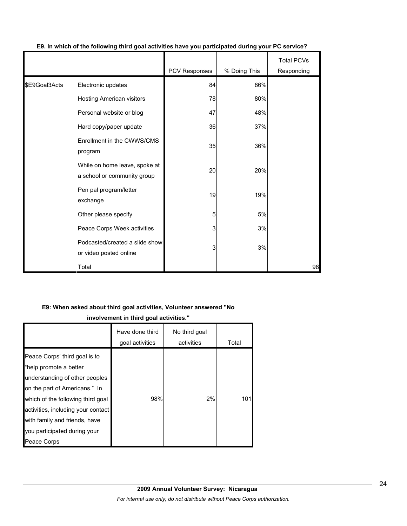|               |                                                              |               |              | <b>Total PCVs</b> |
|---------------|--------------------------------------------------------------|---------------|--------------|-------------------|
|               |                                                              | PCV Responses | % Doing This | Responding        |
| \$E9Goal3Acts | Electronic updates                                           | 84            | 86%          |                   |
|               | Hosting American visitors                                    | 78            | 80%          |                   |
|               | Personal website or blog                                     | 47            | 48%          |                   |
|               | Hard copy/paper update                                       | 36            | 37%          |                   |
|               | Enrollment in the CWWS/CMS<br>program                        | 35            | 36%          |                   |
|               | While on home leave, spoke at<br>a school or community group | 20            | 20%          |                   |
|               | Pen pal program/letter<br>exchange                           | 19            | 19%          |                   |
|               | Other please specify                                         | 5             | 5%           |                   |
|               | Peace Corps Week activities                                  | 3             | 3%           |                   |
|               | Podcasted/created a slide show<br>or video posted online     | 3             | 3%           |                   |
|               | Total                                                        |               |              | 98                |

# **E9. In which of the following third goal activities have you participated during your PC service?**

## **E9: When asked about third goal activities, Volunteer answered "No**

**involvement in third goal activities."** 

|                                                                                                                                                                                                                                                                                       | Have done third<br>goal activities | No third goal<br>activities | Total |
|---------------------------------------------------------------------------------------------------------------------------------------------------------------------------------------------------------------------------------------------------------------------------------------|------------------------------------|-----------------------------|-------|
| Peace Corps' third goal is to<br>"help promote a better<br>understanding of other peoples<br>on the part of Americans." In<br>which of the following third goal<br>activities, including your contact<br>with family and friends, have<br>you participated during your<br>Peace Corps | 98%                                | 2%                          | 101   |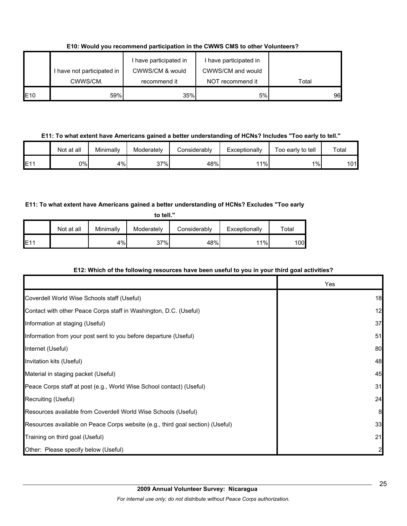**E10: Would you recommend participation in the CWWS CMS to other Volunteers?**

|             | I have not participated in<br>CWWS/CM. | have participated in<br>CWWS/CM & would<br>recommend it | I have participated in<br>CWWS/CM and would<br>NOT recommend it | Total |
|-------------|----------------------------------------|---------------------------------------------------------|-----------------------------------------------------------------|-------|
|             |                                        |                                                         |                                                                 |       |
| <b>IE10</b> | 59%                                    | 35%                                                     | 5%                                                              | 96    |

**E11: To what extent have Americans gained a better understanding of HCNs? Includes "Too early to tell."**

|     | Not at all | Minimally | Moderately | Considerably | Exceptionally | Too early to tell | Total |
|-----|------------|-----------|------------|--------------|---------------|-------------------|-------|
| E11 | 0%l        | 4%        | 37%        | 48%          | 11%           | 1%                | 101   |

# **E11: To what extent have Americans gained a better understanding of HCNs? Excludes "Too early**

**to tell."**

|      | Not at all | Minimally | Moderately | Considerably | Exceptionally | $\tau$ otal |
|------|------------|-----------|------------|--------------|---------------|-------------|
| IE11 |            | 4%        | 37%        | 48%          | 11%           | 100l        |

# **E12: Which of the following resources have been useful to you in your third goal activities?**

|                                                                                | Yes |
|--------------------------------------------------------------------------------|-----|
| Coverdell World Wise Schools staff (Useful)                                    | 18  |
| Contact with other Peace Corps staff in Washington, D.C. (Useful)              | 12  |
| Information at staging (Useful)                                                | 37  |
| Information from your post sent to you before departure (Useful)               | 51  |
| Internet (Useful)                                                              | 80  |
| Invitation kits (Useful)                                                       | 48  |
| Material in staging packet (Useful)                                            | 45  |
| Peace Corps staff at post (e.g., World Wise School contact) (Useful)           | 31  |
| Recruiting (Useful)                                                            | 24  |
| Resources available from Coverdell World Wise Schools (Useful)                 | 8   |
| Resources available on Peace Corps website (e.g., third goal section) (Useful) | 33  |
| Training on third goal (Useful)                                                | 21  |
| Other: Please specify below (Useful)                                           |     |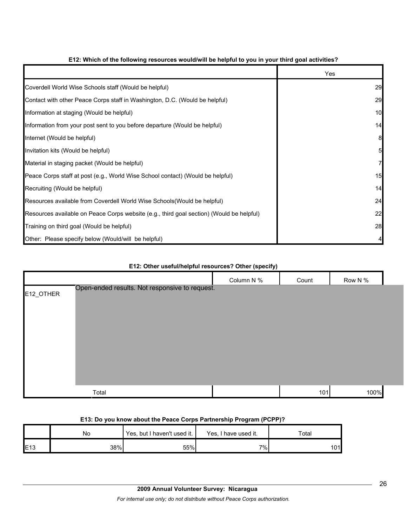|                                                                                          | Yes |
|------------------------------------------------------------------------------------------|-----|
| Coverdell World Wise Schools staff (Would be helpful)                                    | 29  |
| Contact with other Peace Corps staff in Washington, D.C. (Would be helpful)              | 29  |
| Information at staging (Would be helpful)                                                | 10  |
| Information from your post sent to you before departure (Would be helpful)               | 14  |
| Internet (Would be helpful)                                                              | 8   |
| Invitation kits (Would be helpful)                                                       |     |
| Material in staging packet (Would be helpful)                                            |     |
| Peace Corps staff at post (e.g., World Wise School contact) (Would be helpful)           | 15  |
| Recruiting (Would be helpful)                                                            | 14  |
| Resources available from Coverdell World Wise Schools (Would be helpful)                 | 24  |
| Resources available on Peace Corps website (e.g., third goal section) (Would be helpful) | 22  |
| Training on third goal (Would be helpful)                                                | 28  |
| Other: Please specify below (Would/will be helpful)                                      |     |

# **E12: Which of the following resources would/will be helpful to you in your third goal activities?**

# Column N % Count Row N % E12\_OTHER Total 101 100% Open-ended results. Not responsive to request.

# **E12: Other useful/helpful resources? Other (specify)**

## **E13: Do you know about the Peace Corps Partnership Program (PCPP)?**

|     | No  | Yes, but I haven't used it. | Yes, I have used it. | $\tau$ otal |
|-----|-----|-----------------------------|----------------------|-------------|
| E13 | 38% | 55%                         | 7%                   | 101         |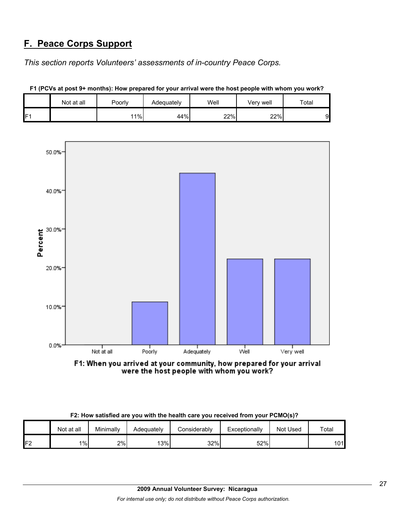# **F. Peace Corps Support**

*This section reports Volunteers' assessments of in-country Peace Corps.* 

|    | Not at all | Poorly | Adequately | Well | Verv well | Total |
|----|------------|--------|------------|------|-----------|-------|
| Е۰ |            | 11%    | 44%        | 22%  | 22%       |       |

**F1 (PCVs at post 9+ months): How prepared for your arrival were the host people with whom you work?**



F1: When you arrived at your community, how prepared for your arrival were the host people with whom you work?

|  |  | F2: How satisfied are you with the health care you received from your PCMO(s)? |
|--|--|--------------------------------------------------------------------------------|
|--|--|--------------------------------------------------------------------------------|

|         | Not at all | Minimally | Adequately | <b>Considerably</b> | Exceptionally | Not Used | Total |
|---------|------------|-----------|------------|---------------------|---------------|----------|-------|
| F2<br>L | $1\%$      | 2%        | 13%        | 32%                 | 52%           |          | 101   |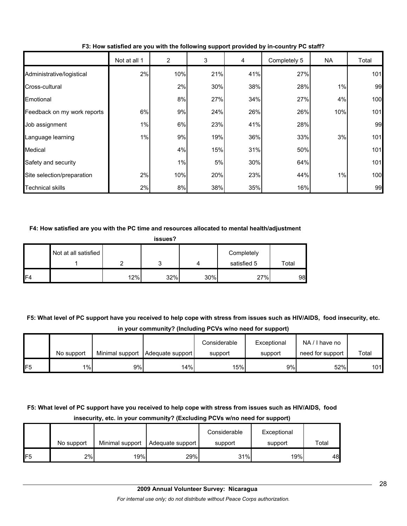|                             | Not at all 1 | $\overline{c}$ | 3   | 4   | Completely 5 | NA  | Total |
|-----------------------------|--------------|----------------|-----|-----|--------------|-----|-------|
| Administrative/logistical   | 2%           | 10%            | 21% | 41% | 27%          |     | 101   |
| Cross-cultural              |              | 2%             | 30% | 38% | 28%          | 1%  | 99    |
| Emotional                   |              | 8%             | 27% | 34% | 27%          | 4%  | 100   |
| Feedback on my work reports | 6%           | 9%             | 24% | 26% | 26%          | 10% | 101   |
| Job assignment              | $1\%$        | 6%             | 23% | 41% | 28%          |     | 99    |
| Language learning           | 1%           | 9%             | 19% | 36% | 33%          | 3%  | 101   |
| Medical                     |              | 4%             | 15% | 31% | 50%          |     | 101   |
| Safety and security         |              | 1%             | 5%  | 30% | 64%          |     | 101   |
| Site selection/preparation  | 2%           | 10%            | 20% | 23% | 44%          | 1%  | 100   |
| <b>Technical skills</b>     | 2%           | 8%             | 38% | 35% | 16%          |     | 99    |

**F3: How satisfied are you with the following support provided by in-country PC staff?**

## **F4: How satisfied are you with the PC time and resources allocated to mental health/adjustment**

| issues? |                      |     |     |     |                           |       |  |  |
|---------|----------------------|-----|-----|-----|---------------------------|-------|--|--|
|         | Not at all satisfied |     | 3   |     | Completely<br>satisfied 5 | Total |  |  |
| IF4     |                      | 12% | 32% | 30% | 27%                       | 98    |  |  |

**F5: What level of PC support have you received to help cope with stress from issues such as HIV/AIDS, food insecurity, etc. in your community? (Including PCVs w/no need for support)**

|                 |            |    |                                    | Considerable | Exceptional | NA/I have no     |       |
|-----------------|------------|----|------------------------------------|--------------|-------------|------------------|-------|
|                 | No support |    | Minimal support   Adequate support | support      | support     | need for support | Total |
| IF <sub>5</sub> | $1\%$      | 9% | 14%                                | 15%          | 9%          | 52%              | 101   |

# **F5: What level of PC support have you received to help cope with stress from issues such as HIV/AIDS, food insecurity, etc. in your community? (Excluding PCVs w/no need for support)**

|                 |            |                 |                  | Considerable | Exceptional |       |
|-----------------|------------|-----------------|------------------|--------------|-------------|-------|
|                 | No support | Minimal support | Adequate support | support      | support     | Total |
| IF <sub>5</sub> | 2%         | 19%             | 29%              | 31%          | 19%         | 48    |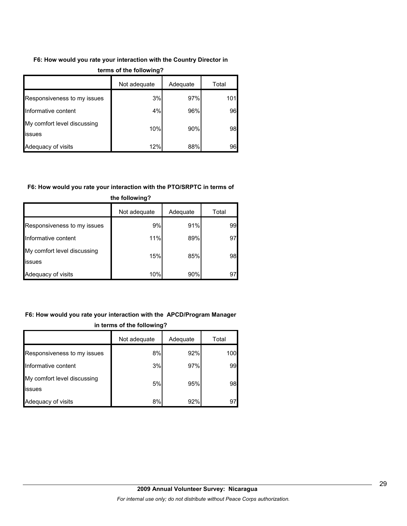# **F6: How would you rate your interaction with the Country Director in**

|                                              | Not adequate | Adequate | Total |
|----------------------------------------------|--------------|----------|-------|
| Responsiveness to my issues                  | 3%           | 97%      | 101   |
| Informative content                          | 4%           | 96%      | 96    |
| My comfort level discussing<br><b>issues</b> | 10%          | 90%      | 98    |
| Adequacy of visits                           | 12%          | 88%      | 96    |

#### **terms of the following?**

## **F6: How would you rate your interaction with the PTO/SRPTC in terms of**

| the following?                                |              |          |       |  |  |  |  |
|-----------------------------------------------|--------------|----------|-------|--|--|--|--|
|                                               | Not adequate | Adequate | Total |  |  |  |  |
| Responsiveness to my issues                   | 9%           | 91%      | 99    |  |  |  |  |
| Informative content                           | 11%          | 89%      | 97    |  |  |  |  |
| My comfort level discussing<br><b>lissues</b> | 15%          | 85%      | 98    |  |  |  |  |
| Adequacy of visits                            | 10%          | 90%      | 97    |  |  |  |  |

# **F6: How would you rate your interaction with the APCD/Program Manager in terms of the following?**

|                                       | Not adequate | Adequate | Total |
|---------------------------------------|--------------|----------|-------|
| Responsiveness to my issues           | 8%           | 92%      | 100   |
| Informative content                   | 3%           | 97%      | 99    |
| My comfort level discussing<br>issues | 5%           | 95%      | 98    |
| Adequacy of visits                    | 8%           | 92%      | 97    |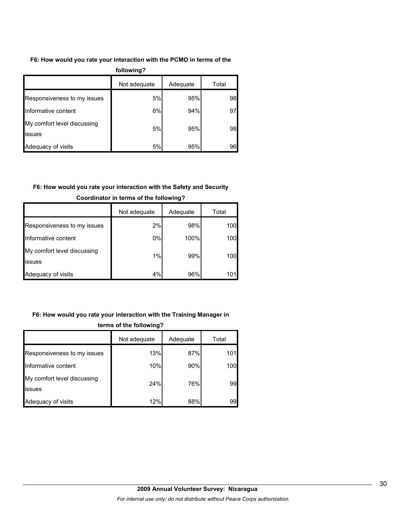## **F6: How would you rate your interaction with the PCMO in terms of the**

| following?                            |              |          |       |  |  |  |  |
|---------------------------------------|--------------|----------|-------|--|--|--|--|
|                                       | Not adequate | Adequate | Total |  |  |  |  |
| Responsiveness to my issues           | 5%           | 95%      | 98    |  |  |  |  |
| Informative content                   | 6%           | 94%      | 97    |  |  |  |  |
| My comfort level discussing<br>issues | 5%           | 95%      | 98    |  |  |  |  |
| Adequacy of visits                    | 5%           | 95%      | 96    |  |  |  |  |

# **F6: How would you rate your interaction with the Safety and Security**

|                                               | Not adequate | Adequate | Total |
|-----------------------------------------------|--------------|----------|-------|
| Responsiveness to my issues                   | 2%           | 98%      | 100   |
| Informative content                           | 0%           | 100%     | 100   |
| My comfort level discussing<br><b>lissues</b> | 1%           | 99%      | 100   |
| Adequacy of visits                            | 4%           | 96%      | 101   |

# **Coordinator in terms of the following?**

# **F6: How would you rate your interaction with the Training Manager in**

|                                       | Not adequate | Adequate | Total |
|---------------------------------------|--------------|----------|-------|
| Responsiveness to my issues           | 13%          | 87%      | 101   |
| Informative content                   | 10%          | 90%      | 100   |
| My comfort level discussing<br>issues | 24%          | 76%      | 99    |
| Adequacy of visits                    | 12%          | 88%      | 99    |

# **terms of the following?**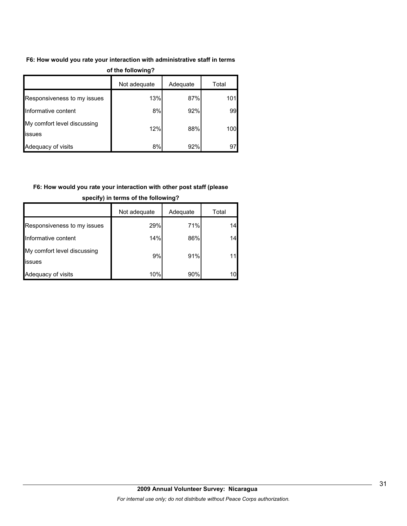## **F6: How would you rate your interaction with administrative staff in terms**

| $\sim$                                |              |          |       |  |  |
|---------------------------------------|--------------|----------|-------|--|--|
|                                       | Not adequate | Adequate | Total |  |  |
| Responsiveness to my issues           | 13%          | 87%      | 101   |  |  |
| Informative content                   | 8%           | 92%      | 99    |  |  |
| My comfort level discussing<br>issues | 12%          | 88%      | 100   |  |  |
| Adequacy of visits                    | 8%           | 92%      | 97    |  |  |

#### **of the following?**

# **F6: How would you rate your interaction with other post staff (please**

|                                        | Not adequate | Adequate | Total |
|----------------------------------------|--------------|----------|-------|
| Responsiveness to my issues            | 29%          | 71%      | 14    |
| Informative content                    | 14%          | 86%      | 14    |
| My comfort level discussing<br>lissues | 9%           | 91%      |       |
| Adequacy of visits                     | 10%          | 90%      |       |

## **specify) in terms of the following?**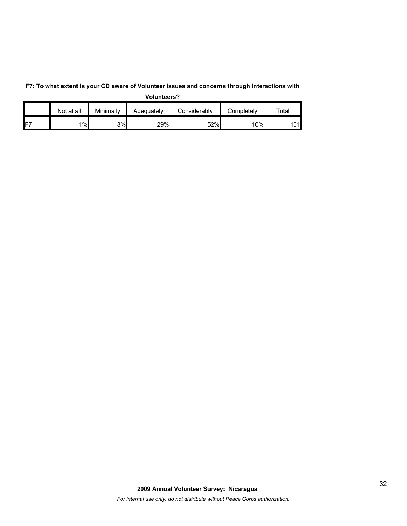|     | Not at all | Minimally | Adequately | Considerablv | Completely | $\tau$ otal |
|-----|------------|-----------|------------|--------------|------------|-------------|
| IF7 | 1%         | 8%        | 29%        | 52%          | 10%        | 101         |

**F7: To what extent is your CD aware of Volunteer issues and concerns through interactions with Volunteers?**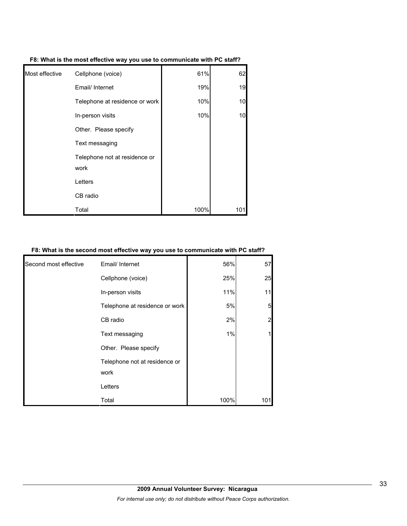| Most effective | Cellphone (voice)                     | 61%  | 62  |
|----------------|---------------------------------------|------|-----|
|                | Email/ Internet                       | 19%  | 19  |
|                | Telephone at residence or work        | 10%  | 10  |
|                | In-person visits                      | 10%  | 10  |
|                | Other. Please specify                 |      |     |
|                | Text messaging                        |      |     |
|                | Telephone not at residence or<br>work |      |     |
|                | Letters                               |      |     |
|                | CB radio                              |      |     |
|                | Total                                 | 100% | 101 |

# **F8: What is the second most effective way you use to communicate with PC staff?**

| Second most effective | Email/ Internet                       | 56%  | 57  |
|-----------------------|---------------------------------------|------|-----|
|                       | Cellphone (voice)                     | 25%  | 25  |
|                       | In-person visits                      | 11%  | 11  |
|                       | Telephone at residence or work        | 5%   | 5   |
|                       | CB radio                              | 2%   |     |
|                       | Text messaging                        | 1%   |     |
|                       | Other. Please specify                 |      |     |
|                       | Telephone not at residence or<br>work |      |     |
|                       | Letters                               |      |     |
|                       | Total                                 | 100% | 101 |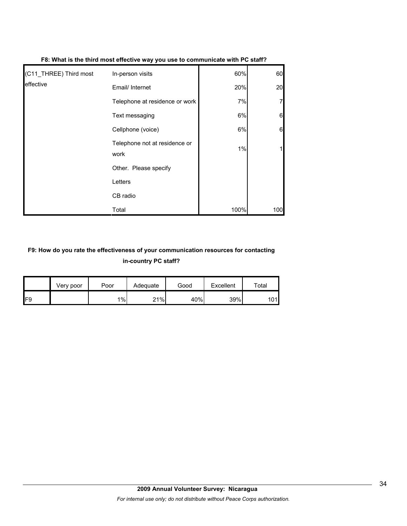| (C11_THREE) Third most | In-person visits                      | 60%   | 60  |
|------------------------|---------------------------------------|-------|-----|
| effective              | Email/ Internet                       | 20%   | 20  |
|                        | Telephone at residence or work        | 7%    |     |
|                        | Text messaging                        | 6%    | 6   |
|                        | Cellphone (voice)                     | 6%    | 6   |
|                        | Telephone not at residence or<br>work | $1\%$ |     |
|                        | Other. Please specify                 |       |     |
|                        | Letters                               |       |     |
|                        | CB radio                              |       |     |
|                        | Total                                 | 100%  | 100 |

#### **F8: What is the third most effective way you use to communicate with PC staff?**

# **F9: How do you rate the effectiveness of your communication resources for contacting in-country PC staff?**

|     | Very poor | Poor | Adequate | Good | Excellent | $\tau$ otal |  |
|-----|-----------|------|----------|------|-----------|-------------|--|
| IF9 |           | 1%   | 21%      | 40%  | 39%       | 101l        |  |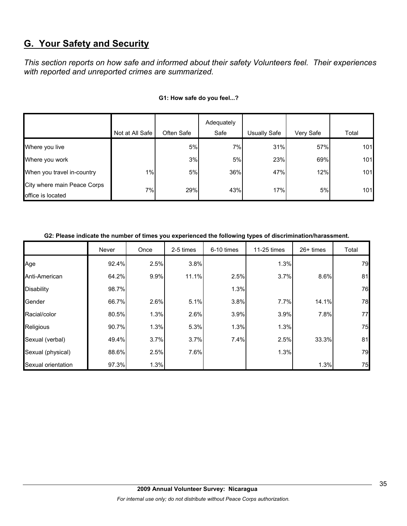# **G. Your Safety and Security**

*This section reports on how safe and informed about their safety Volunteers feel. Their experiences with reported and unreported crimes are summarized.* 

|                                                  |                 |            | Adequately |              |           |       |
|--------------------------------------------------|-----------------|------------|------------|--------------|-----------|-------|
|                                                  | Not at All Safe | Often Safe | Safe       | Usually Safe | Very Safe | Total |
| Where you live                                   |                 | 5%         | 7%         | 31%          | 57%       | 101   |
| Where you work                                   |                 | 3%         | 5%         | 23%          | 69%       | 101   |
| When you travel in-country                       | $1\%$           | 5%         | 36%        | 47%          | 12%       | 101   |
| City where main Peace Corps<br>office is located | 7%              | 29%        | 43%        | 17%          | 5%        | 101   |

## **G1: How safe do you feel...?**

| G2: Please indicate the number of times you experienced the following types of discrimination/harassment. |  |
|-----------------------------------------------------------------------------------------------------------|--|
|                                                                                                           |  |

|                    | Never | Once | 2-5 times | 6-10 times | 11-25 times | $26+$ times | Total |
|--------------------|-------|------|-----------|------------|-------------|-------------|-------|
| Age                | 92.4% | 2.5% | 3.8%      |            | 1.3%        |             | 79    |
| Anti-American      | 64.2% | 9.9% | 11.1%     | 2.5%       | 3.7%        | 8.6%        | 81    |
| <b>Disability</b>  | 98.7% |      |           | 1.3%       |             |             | 76    |
| Gender             | 66.7% | 2.6% | 5.1%      | 3.8%       | 7.7%        | 14.1%       | 78    |
| Racial/color       | 80.5% | 1.3% | 2.6%      | 3.9%       | 3.9%        | 7.8%        | 77    |
| Religious          | 90.7% | 1.3% | 5.3%      | 1.3%       | 1.3%        |             | 75    |
| Sexual (verbal)    | 49.4% | 3.7% | 3.7%      | 7.4%       | 2.5%        | 33.3%       | 81    |
| Sexual (physical)  | 88.6% | 2.5% | 7.6%      |            | 1.3%        |             | 79    |
| Sexual orientation | 97.3% | 1.3% |           |            |             | 1.3%        | 75    |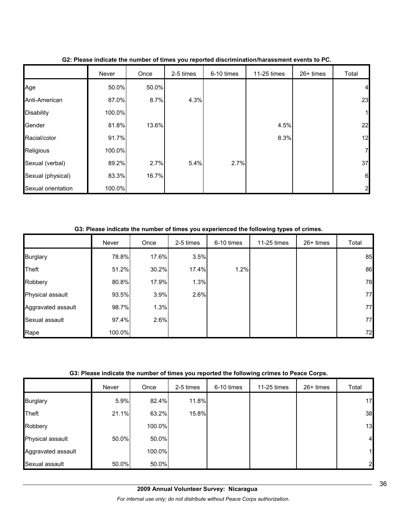|                    | Never  | Once  | 2-5 times | 6-10 times | 11-25 times | 26+ times | Total          |
|--------------------|--------|-------|-----------|------------|-------------|-----------|----------------|
| Age                | 50.0%  | 50.0% |           |            |             |           | $\overline{4}$ |
| Anti-American      | 87.0%  | 8.7%  | 4.3%      |            |             |           | 23             |
| <b>Disability</b>  | 100.0% |       |           |            |             |           | $\mathbf{1}$   |
| Gender             | 81.8%  | 13.6% |           |            | 4.5%        |           | 22             |
| Racial/color       | 91.7%  |       |           |            | 8.3%        |           | 12             |
| Religious          | 100.0% |       |           |            |             |           | $\mathbf{Z}$   |
| Sexual (verbal)    | 89.2%  | 2.7%  | 5.4%      | 2.7%       |             |           | 37             |
| Sexual (physical)  | 83.3%  | 16.7% |           |            |             |           | 6              |
| Sexual orientation | 100.0% |       |           |            |             |           | 2              |

**G2: Please indicate the number of times you reported discrimination/harassment events to PC.**

**G3: Please indicate the number of times you experienced the following types of crimes.**

|                    | Never  | Once  | 2-5 times | 6-10 times | 11-25 times | $26+$ times | Total |
|--------------------|--------|-------|-----------|------------|-------------|-------------|-------|
| <b>Burglary</b>    | 78.8%  | 17.6% | 3.5%      |            |             |             | 85    |
| Theft              | 51.2%  | 30.2% | 17.4%     | 1.2%       |             |             | 86    |
| Robbery            | 80.8%  | 17.9% | 1.3%      |            |             |             | 78    |
| Physical assault   | 93.5%  | 3.9%  | 2.6%      |            |             |             | 77    |
| Aggravated assault | 98.7%  | 1.3%  |           |            |             |             | 77    |
| Sexual assault     | 97.4%  | 2.6%  |           |            |             |             | 77    |
| Rape               | 100.0% |       |           |            |             |             | 72    |

|                    | Never | Once   | 2-5 times | 6-10 times | 11-25 times | 26+ times | Total          |
|--------------------|-------|--------|-----------|------------|-------------|-----------|----------------|
| <b>Burglary</b>    | 5.9%  | 82.4%  | 11.8%     |            |             |           | 17             |
| Theft              | 21.1% | 63.2%  | 15.8%     |            |             |           | 38             |
| Robbery            |       | 100.0% |           |            |             |           | 13             |
| Physical assault   | 50.0% | 50.0%  |           |            |             |           | $\overline{4}$ |
| Aggravated assault |       | 100.0% |           |            |             |           |                |
| Sexual assault     | 50.0% | 50.0%  |           |            |             |           | $\overline{2}$ |

*For internal use only; do not distribute without Peace Corps authorization.*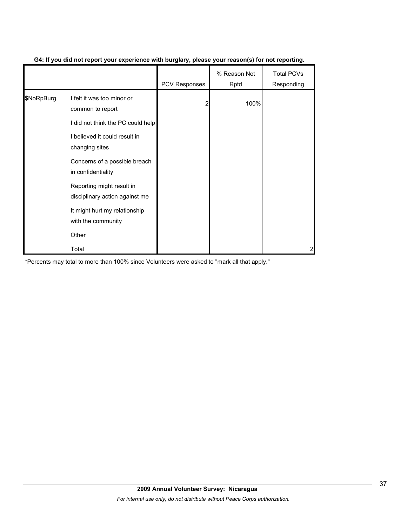|            |                                                             | <b>PCV Responses</b> | % Reason Not<br>Rptd | <b>Total PCVs</b><br>Responding |
|------------|-------------------------------------------------------------|----------------------|----------------------|---------------------------------|
| \$NoRpBurg | I felt it was too minor or<br>common to report              | 2                    | 100%                 |                                 |
|            | I did not think the PC could help                           |                      |                      |                                 |
|            | I believed it could result in<br>changing sites             |                      |                      |                                 |
|            | Concerns of a possible breach<br>in confidentiality         |                      |                      |                                 |
|            | Reporting might result in<br>disciplinary action against me |                      |                      |                                 |
|            | It might hurt my relationship<br>with the community         |                      |                      |                                 |
|            | Other                                                       |                      |                      |                                 |
|            | Total                                                       |                      |                      |                                 |

# **G4: If you did not report your experience with burglary, please your reason(s) for not reporting.**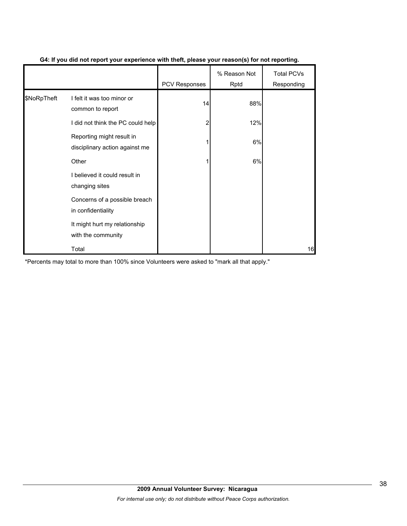|             |                                                             | <b>PCV Responses</b> | % Reason Not<br>Rptd | <b>Total PCVs</b><br>Responding |
|-------------|-------------------------------------------------------------|----------------------|----------------------|---------------------------------|
| \$NoRpTheft | I felt it was too minor or<br>common to report              | 14                   | 88%                  |                                 |
|             | I did not think the PC could help                           | 2                    | 12%                  |                                 |
|             | Reporting might result in<br>disciplinary action against me |                      | 6%                   |                                 |
|             | Other                                                       |                      | 6%                   |                                 |
|             | I believed it could result in<br>changing sites             |                      |                      |                                 |
|             | Concerns of a possible breach<br>in confidentiality         |                      |                      |                                 |
|             | It might hurt my relationship<br>with the community         |                      |                      |                                 |
|             | Total                                                       |                      |                      | 16                              |

# **G4: If you did not report your experience with theft, please your reason(s) for not reporting.**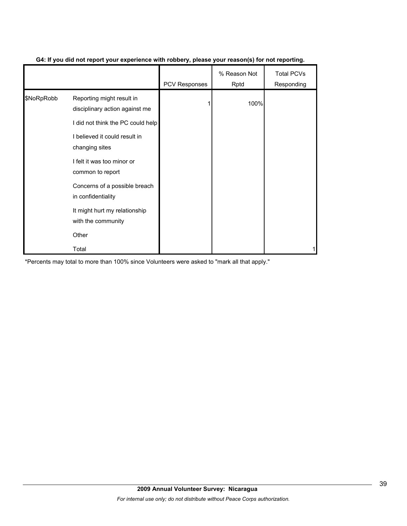|            |                                                             | <b>PCV Responses</b> | % Reason Not<br>Rptd | <b>Total PCVs</b><br>Responding |
|------------|-------------------------------------------------------------|----------------------|----------------------|---------------------------------|
| \$NoRpRobb | Reporting might result in<br>disciplinary action against me |                      | 100%                 |                                 |
|            | I did not think the PC could help                           |                      |                      |                                 |
|            | I believed it could result in<br>changing sites             |                      |                      |                                 |
|            | I felt it was too minor or<br>common to report              |                      |                      |                                 |
|            | Concerns of a possible breach<br>in confidentiality         |                      |                      |                                 |
|            | It might hurt my relationship<br>with the community         |                      |                      |                                 |
|            | Other                                                       |                      |                      |                                 |
|            | Total                                                       |                      |                      |                                 |

# **G4: If you did not report your experience with robbery, please your reason(s) for not reporting.**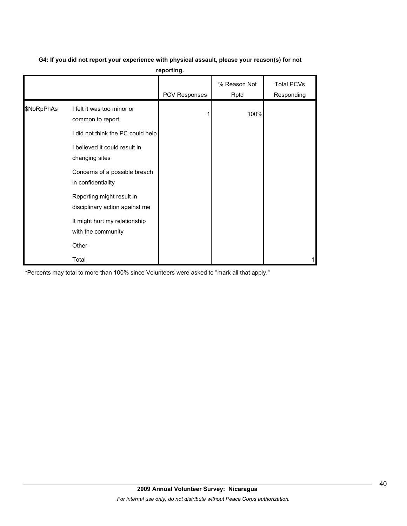| G4: If you did not report your experience with physical assault, please your reason(s) for not |  |  |
|------------------------------------------------------------------------------------------------|--|--|
|                                                                                                |  |  |

**reporting.**

|            |                                                             | PCV Responses | % Reason Not<br>Rptd | <b>Total PCVs</b><br>Responding |
|------------|-------------------------------------------------------------|---------------|----------------------|---------------------------------|
| \$NoRpPhAs | I felt it was too minor or<br>common to report              |               | 100%                 |                                 |
|            | I did not think the PC could help                           |               |                      |                                 |
|            | I believed it could result in<br>changing sites             |               |                      |                                 |
|            | Concerns of a possible breach<br>in confidentiality         |               |                      |                                 |
|            | Reporting might result in<br>disciplinary action against me |               |                      |                                 |
|            | It might hurt my relationship<br>with the community         |               |                      |                                 |
|            | Other                                                       |               |                      |                                 |
|            | Total                                                       |               |                      |                                 |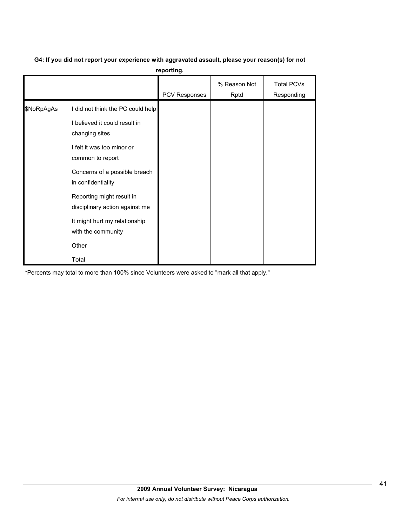# **G4: If you did not report your experience with aggravated assault, please your reason(s) for not**

**reporting.**

|            |                                                                                                                                                                         | PCV Responses | % Reason Not<br>Rptd | <b>Total PCVs</b><br>Responding |
|------------|-------------------------------------------------------------------------------------------------------------------------------------------------------------------------|---------------|----------------------|---------------------------------|
| \$NoRpAgAs | I did not think the PC could help<br>I believed it could result in<br>changing sites<br>I felt it was too minor or<br>common to report<br>Concerns of a possible breach |               |                      |                                 |
|            | in confidentiality<br>Reporting might result in<br>disciplinary action against me<br>It might hurt my relationship<br>with the community<br>Other<br>Total              |               |                      |                                 |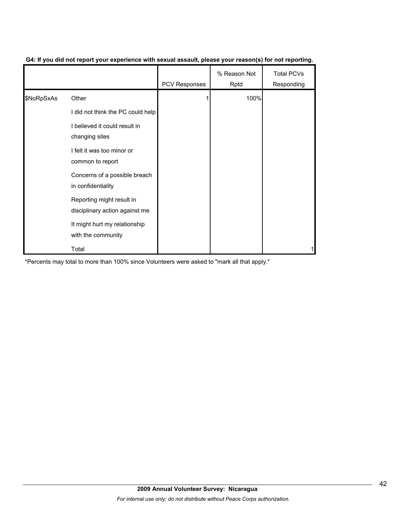|            |                                                             | <b>PCV Responses</b> | % Reason Not<br>Rptd | <b>Total PCVs</b><br>Responding |
|------------|-------------------------------------------------------------|----------------------|----------------------|---------------------------------|
| \$NoRpSxAs | Other                                                       |                      | 100%                 |                                 |
|            | I did not think the PC could help                           |                      |                      |                                 |
|            | I believed it could result in<br>changing sites             |                      |                      |                                 |
|            | I felt it was too minor or<br>common to report              |                      |                      |                                 |
|            | Concerns of a possible breach<br>in confidentiality         |                      |                      |                                 |
|            | Reporting might result in<br>disciplinary action against me |                      |                      |                                 |
|            | It might hurt my relationship<br>with the community         |                      |                      |                                 |
|            | Total                                                       |                      |                      |                                 |

# **G4: If you did not report your experience with sexual assault, please your reason(s) for not reporting.**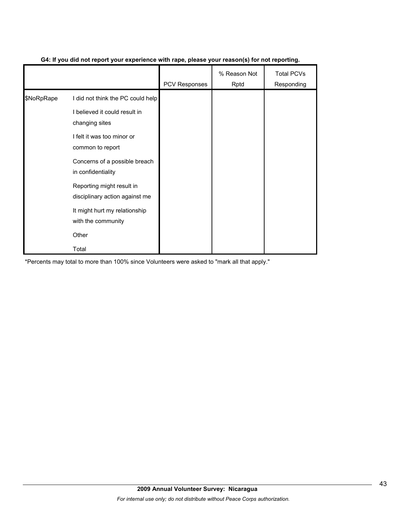|            |                                                             | <b>PCV Responses</b> | % Reason Not<br>Rptd | <b>Total PCVs</b><br>Responding |
|------------|-------------------------------------------------------------|----------------------|----------------------|---------------------------------|
| \$NoRpRape | I did not think the PC could help                           |                      |                      |                                 |
|            | I believed it could result in<br>changing sites             |                      |                      |                                 |
|            | I felt it was too minor or<br>common to report              |                      |                      |                                 |
|            | Concerns of a possible breach<br>in confidentiality         |                      |                      |                                 |
|            | Reporting might result in<br>disciplinary action against me |                      |                      |                                 |
|            | It might hurt my relationship<br>with the community         |                      |                      |                                 |
|            | Other                                                       |                      |                      |                                 |
|            | Total                                                       |                      |                      |                                 |

# **G4: If you did not report your experience with rape, please your reason(s) for not reporting.**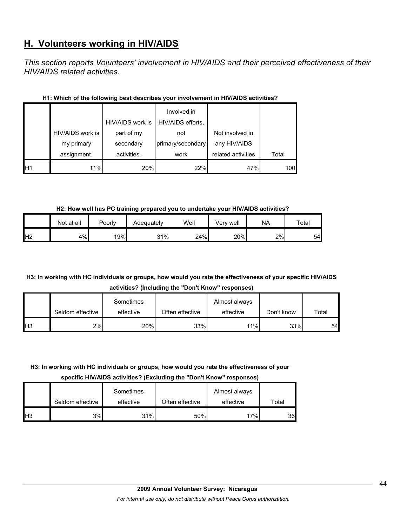# **H. Volunteers working in HIV/AIDS**

*This section reports Volunteers' involvement in HIV/AIDS and their perceived effectiveness of their HIV/AIDS related activities.* 

|                |                  | HIV/AIDS work is | Involved in<br>HIV/AIDS efforts, |                    |       |
|----------------|------------------|------------------|----------------------------------|--------------------|-------|
|                | HIV/AIDS work is | part of my       | not                              | Not involved in    |       |
|                | my primary       | secondary        | primary/secondary                | any HIV/AIDS       |       |
|                | assignment.      | activities.      | work                             | related activities | Total |
| H <sub>1</sub> | 11%              | 20%              | 22%                              | 47%                | 100   |

# **H1: Which of the following best describes your involvement in HIV/AIDS activities?**

**H2: How well has PC training prepared you to undertake your HIV/AIDS activities?**

|                | Not at all | Poorly | Adequatelv | Well | √erv well | <b>NA</b> | $\tau$ otal |
|----------------|------------|--------|------------|------|-----------|-----------|-------------|
| H <sub>2</sub> | 4%         | 19%    | 31%        | 24%  | 20%       | 2%        | 54          |

# **H3: In working with HC individuals or groups, how would you rate the effectiveness of your specific HIV/AIDS activities? (Including the "Don't Know" responses)**

|                 |                  | Sometimes |                 | Almost always |            |       |
|-----------------|------------------|-----------|-----------------|---------------|------------|-------|
|                 | Seldom effective | effective | Often effective | effective     | Don't know | Total |
| IH <sub>3</sub> | 2%               | 20%       | 33%             | 11%           | 33%        | 54    |

# **H3: In working with HC individuals or groups, how would you rate the effectiveness of your**

**specific HIV/AIDS activities? (Excluding the "Don't Know" responses)**

|                 | Seldom effective | Sometimes<br>effective | Often effective | Almost always<br>effective | Total |
|-----------------|------------------|------------------------|-----------------|----------------------------|-------|
| IH <sub>3</sub> | 3%               | 31%                    | 50%             | $17\%$                     | 36    |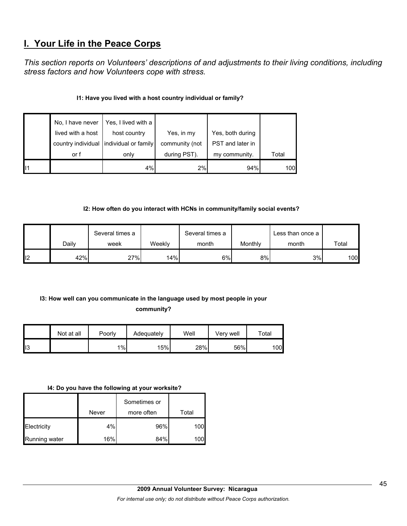# **I. Your Life in the Peace Corps**

*This section reports on Volunteers' descriptions of and adjustments to their living conditions, including stress factors and how Volunteers cope with stress.* 

# **I1: Have you lived with a host country individual or family?**

|                 | No, I have never   | Yes, I lived with a  |                |                  |       |
|-----------------|--------------------|----------------------|----------------|------------------|-------|
|                 | lived with a host  | host country         | Yes, in my     | Yes, both during |       |
|                 | country individual | individual or family | community (not | PST and later in |       |
|                 | or f               | only                 | during PST).   | my community.    | Total |
| $\mathsf{II}$ 1 |                    | 4%                   | 2%             | 94%              | 100   |

# **I2: How often do you interact with HCNs in community/family social events?**

|     |       | Several times a |        | Several times a |         | Less than once a |                    |
|-----|-------|-----------------|--------|-----------------|---------|------------------|--------------------|
|     | Dailv | week            | Weekly | month           | Monthly | month            | Total              |
| ll2 | 42%   | 27%             | 14%    | 6%              | 8%      | 3%               | 100 $\blacksquare$ |

# **I3: How well can you communicate in the language used by most people in your**

# **community?**

|     | Not at all | Poorly | Adequately | Well | Very well | $\tau$ otal     |
|-----|------------|--------|------------|------|-----------|-----------------|
| ll3 |            | $1\%$  | 15%        | 28%  | 56%       | 00 <sup>1</sup> |

#### **I4: Do you have the following at your worksite?**

|               |       | Sometimes or |       |
|---------------|-------|--------------|-------|
|               | Never | more often   | Total |
| Electricity   | 4%    | 96%          | 100   |
| Running water | 16%   | 84%          |       |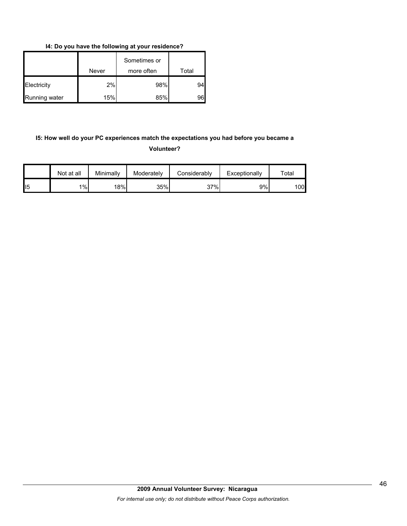**I4: Do you have the following at your residence?**

|               | Never | Sometimes or<br>more often | Total |
|---------------|-------|----------------------------|-------|
| Electricity   | 2%    | 98%                        | 94    |
| Running water | 15%   | 85%                        | 96    |

# **I5: How well do your PC experiences match the expectations you had before you became a Volunteer?**

|                | Not at all | Minimallv | Moderately | Considerably | Exceptionally | $\tau$ otal |
|----------------|------------|-----------|------------|--------------|---------------|-------------|
| $\mathsf{II}5$ | 1%         | 18%       | 35%        | 37%          | 9%l           | 100         |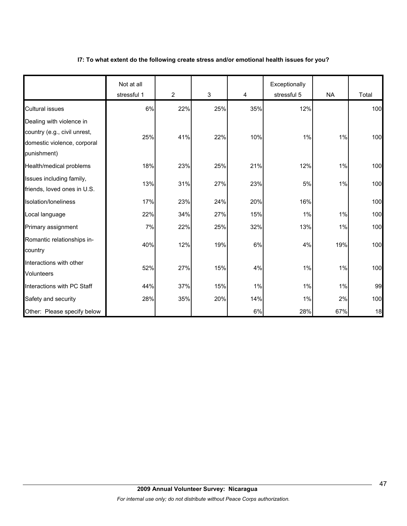## **I7: To what extent do the following create stress and/or emotional health issues for you?**

|                                                                                                        | Not at all<br>stressful 1 | $\overline{2}$ | 3   | 4   | Exceptionally<br>stressful 5 | <b>NA</b> | Total |
|--------------------------------------------------------------------------------------------------------|---------------------------|----------------|-----|-----|------------------------------|-----------|-------|
| <b>Cultural issues</b>                                                                                 | 6%                        | 22%            | 25% | 35% | 12%                          |           | 100   |
| Dealing with violence in<br>country (e.g., civil unrest,<br>domestic violence, corporal<br>punishment) | 25%                       | 41%            | 22% | 10% | 1%                           | 1%        | 100   |
| Health/medical problems                                                                                | 18%                       | 23%            | 25% | 21% | 12%                          | 1%        | 100   |
| Issues including family,<br>friends, loved ones in U.S.                                                | 13%                       | 31%            | 27% | 23% | 5%                           | 1%        | 100   |
| Isolation/Ioneliness                                                                                   | 17%                       | 23%            | 24% | 20% | 16%                          |           | 100   |
| Local language                                                                                         | 22%                       | 34%            | 27% | 15% | 1%                           | 1%        | 100   |
| Primary assignment                                                                                     | 7%                        | 22%            | 25% | 32% | 13%                          | 1%        | 100   |
| Romantic relationships in-<br>country                                                                  | 40%                       | 12%            | 19% | 6%  | 4%                           | 19%       | 100   |
| Interactions with other<br><b>Volunteers</b>                                                           | 52%                       | 27%            | 15% | 4%  | 1%                           | 1%        | 100   |
| Interactions with PC Staff                                                                             | 44%                       | 37%            | 15% | 1%  | 1%                           | 1%        | 99    |
| Safety and security                                                                                    | 28%                       | 35%            | 20% | 14% | $1\%$                        | 2%        | 100   |
| Other: Please specify below                                                                            |                           |                |     | 6%  | 28%                          | 67%       | 18    |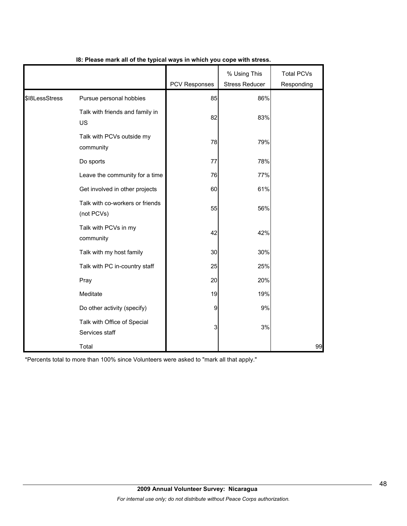|                |                                               | <b>PCV Responses</b> | % Using This<br><b>Stress Reducer</b> | <b>Total PCVs</b><br>Responding |
|----------------|-----------------------------------------------|----------------------|---------------------------------------|---------------------------------|
| \$I8LessStress | Pursue personal hobbies                       | 85                   | 86%                                   |                                 |
|                | Talk with friends and family in<br>US         | 82                   | 83%                                   |                                 |
|                | Talk with PCVs outside my<br>community        | 78                   | 79%                                   |                                 |
|                | Do sports                                     | 77                   | 78%                                   |                                 |
|                | Leave the community for a time                | 76                   | 77%                                   |                                 |
|                | Get involved in other projects                | 60                   | 61%                                   |                                 |
|                | Talk with co-workers or friends<br>(not PCVs) | 55                   | 56%                                   |                                 |
|                | Talk with PCVs in my<br>community             | 42                   | 42%                                   |                                 |
|                | Talk with my host family                      | 30                   | 30%                                   |                                 |
|                | Talk with PC in-country staff                 | 25                   | 25%                                   |                                 |
|                | Pray                                          | 20                   | 20%                                   |                                 |
|                | Meditate                                      | 19                   | 19%                                   |                                 |
|                | Do other activity (specify)                   | 9                    | 9%                                    |                                 |
|                | Talk with Office of Special<br>Services staff | 3                    | 3%                                    |                                 |
|                | Total                                         |                      |                                       | 99                              |

# **I8: Please mark all of the typical ways in which you cope with stress.**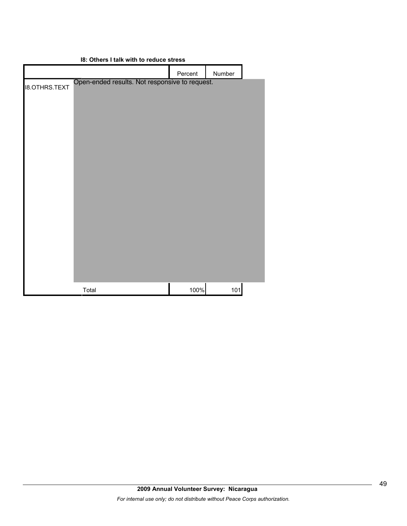| Percent<br>Number<br>Open-ended results. Not responsive to request.<br><b>I8.OTHRS.TEXT</b> | 18: Others I talk with to requce stress |  |  |  |
|---------------------------------------------------------------------------------------------|-----------------------------------------|--|--|--|
|                                                                                             |                                         |  |  |  |
|                                                                                             |                                         |  |  |  |
| 100%<br>Total                                                                               | 101                                     |  |  |  |

# **I8: Others I talk with to reduce stress**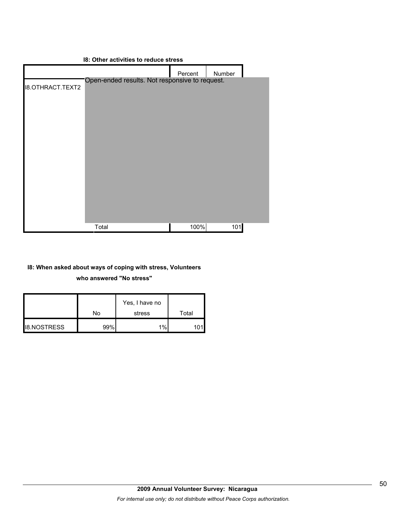# **I8: Other activities to reduce stress** Percent Number I8.OTHRACT.TEXT2 Total 100% 101 Open-ended results. Not responsive to request.

# **I8: When asked about ways of coping with stress, Volunteers**

**who answered "No stress"** 

|                    | No  | Yes, I have no<br>stress | Total |
|--------------------|-----|--------------------------|-------|
|                    |     |                          |       |
| <b>I8.NOSTRESS</b> | 99% | 1%                       |       |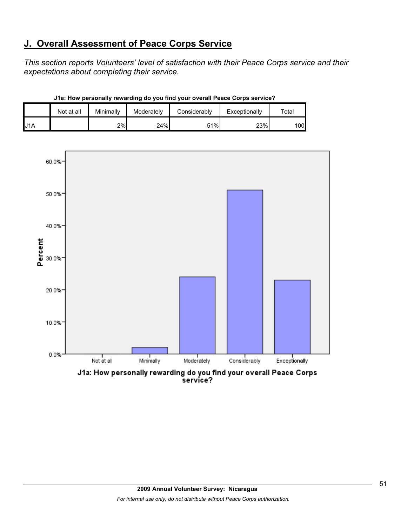# **J. Overall Assessment of Peace Corps Service**

*This section reports Volunteers' level of satisfaction with their Peace Corps service and their expectations about completing their service.* 

|                  | Not at all | Minimally | Moderately | Considerably | Exceptionally | $\tau$ otal |
|------------------|------------|-----------|------------|--------------|---------------|-------------|
| J <sub>1</sub> A |            | 2%        | 24%        | 51%          | 23%           | 1001        |

**J1a: How personally rewarding do you find your overall Peace Corps service?**



J1a: How personally rewarding do you find your overall Peace Corps<br>service?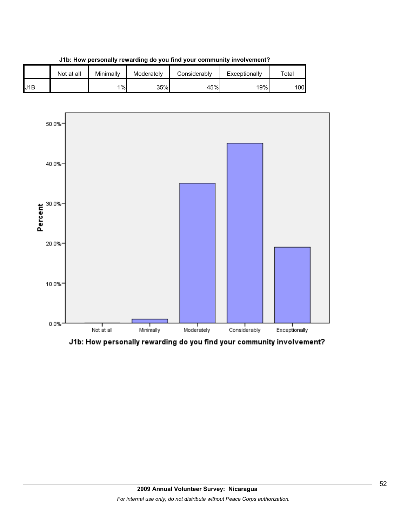

**J1b: How personally rewarding do you find your community involvement?**



J1b: How personally rewarding do you find your community involvement?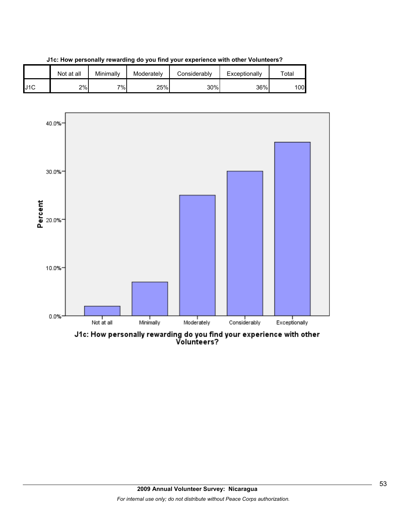





J1c: How personally rewarding do you find your experience with other<br>Volunteers?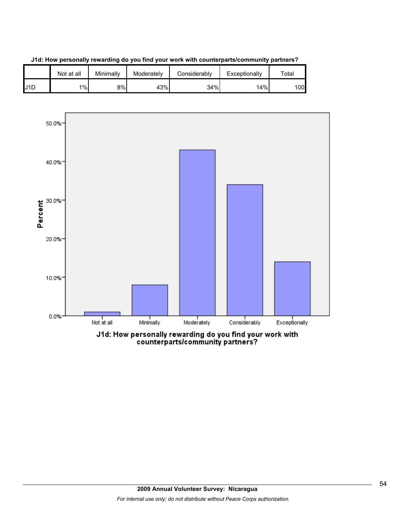

**J1d: How personally rewarding do you find your work with counterparts/community partners?**



counterparts/community partners?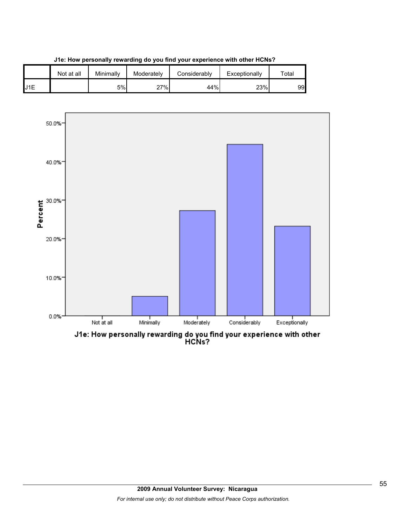

**J1e: How personally rewarding do you find your experience with other HCNs?**

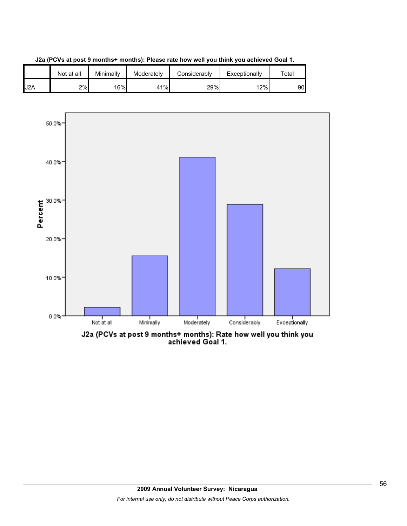





J2a (PCVs at post 9 months+ months): Rate how well you think you<br>achieved Goal 1.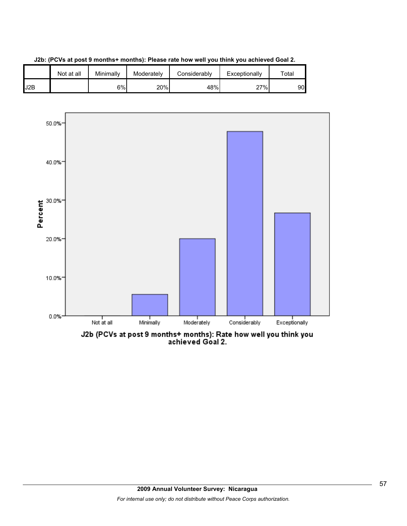



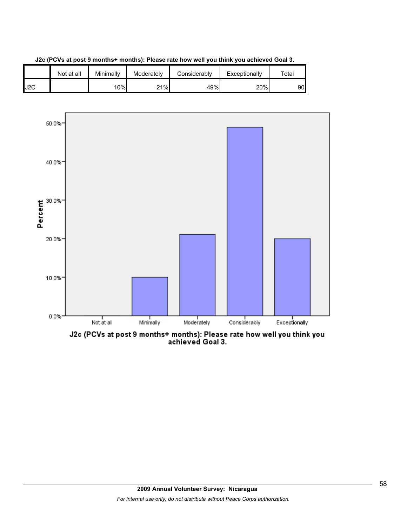

**J2c (PCVs at post 9 months+ months): Please rate how well you think you achieved Goal 3.**



J2c (PCVs at post 9 months+ months): Please rate how well you think you<br>achieved Goal 3.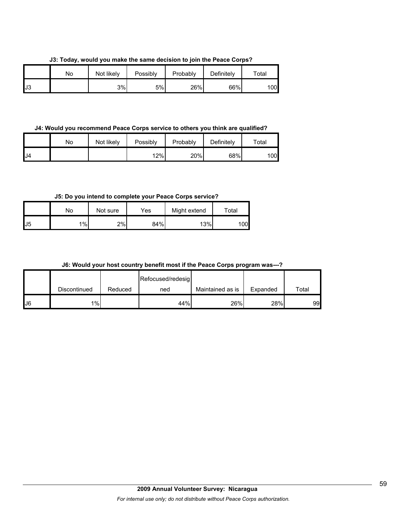**J3: Today, would you make the same decision to join the Peace Corps?**

|     | Nο | Not likely | Possibly | Probably | Definitely | $\tau$ otal |
|-----|----|------------|----------|----------|------------|-------------|
| IJ3 |    | 3%         | 5%       | 26%      | 66%        | 00          |

#### **J4: Would you recommend Peace Corps service to others you think are qualified?**

|    | No | Not likely | Possibly | Probably | Definitely | $\tau$ otal |
|----|----|------------|----------|----------|------------|-------------|
| J4 |    |            | 12%      | 20%      | 68%        | 100l        |

# **J5: Do you intend to complete your Peace Corps service?**

|     | No | Not sure | Yes | Might extend | Total |
|-----|----|----------|-----|--------------|-------|
| IJ5 | 1% | 2%       | 84% | 13%          | 00    |

## **J6: Would your host country benefit most if the Peace Corps program was---?**

|     |              |         | Refocused/redesig |                  |          |       |
|-----|--------------|---------|-------------------|------------------|----------|-------|
|     | Discontinued | Reduced | ned               | Maintained as is | Expanded | Total |
| IJ6 | $1\%$        |         | 44%               | 26%              | 28%      | 99    |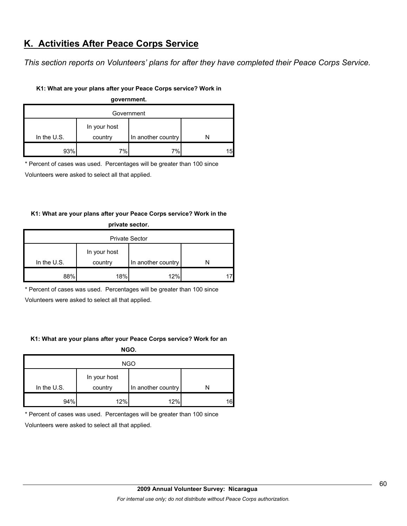# **K. Activities After Peace Corps Service**

*This section reports on Volunteers' plans for after they have completed their Peace Corps Service.* 

## **K1: What are your plans after your Peace Corps service? Work in**

| government. |              |                    |     |  |
|-------------|--------------|--------------------|-----|--|
| Government  |              |                    |     |  |
|             | In your host |                    |     |  |
| In the U.S. | country      | In another country |     |  |
| 93%         | 7%           | 7%                 | 15I |  |

\* Percent of cases was used. Percentages will be greater than 100 since

Volunteers were asked to select all that applied.

# **K1: What are your plans after your Peace Corps service? Work in the**

| private sector.       |              |                    |  |  |
|-----------------------|--------------|--------------------|--|--|
| <b>Private Sector</b> |              |                    |  |  |
|                       | In your host |                    |  |  |
| In the $U.S.$         | country      | In another country |  |  |
| 88%                   | 18%          | 12%                |  |  |

\* Percent of cases was used. Percentages will be greater than 100 since

Volunteers were asked to select all that applied.

# **K1: What are your plans after your Peace Corps service? Work for an**

**NGO.**

| <b>NGO</b>    |                         |                    |    |
|---------------|-------------------------|--------------------|----|
| In the $U.S.$ | In your host<br>country | In another country |    |
| 94%           | 12%                     | 12%                | 16 |

\* Percent of cases was used. Percentages will be greater than 100 since

Volunteers were asked to select all that applied.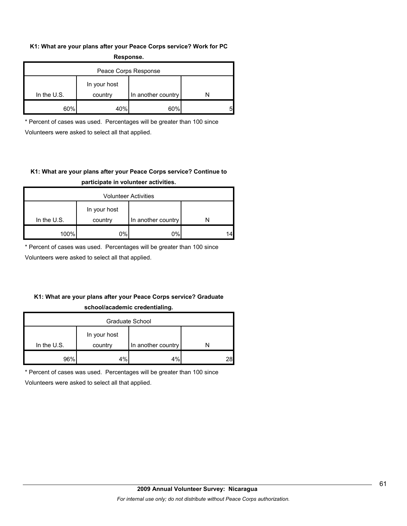## **K1: What are your plans after your Peace Corps service? Work for PC Response.**

| .                    |                         |                    |  |  |
|----------------------|-------------------------|--------------------|--|--|
| Peace Corps Response |                         |                    |  |  |
| In the $U.S.$        | In your host<br>country | In another country |  |  |
| ጸበ%                  | 40%                     | 60%                |  |  |

\* Percent of cases was used. Percentages will be greater than 100 since Volunteers were asked to select all that applied.

# **K1: What are your plans after your Peace Corps service? Continue to participate in volunteer activities.**

| <b>Volunteer Activities</b> |              |                    |    |  |
|-----------------------------|--------------|--------------------|----|--|
|                             | In your host |                    |    |  |
| In the $U.S.$               | country      | In another country |    |  |
| 100%                        | 0%           | 0%                 | 14 |  |

\* Percent of cases was used. Percentages will be greater than 100 since

Volunteers were asked to select all that applied.

# **K1: What are your plans after your Peace Corps service? Graduate school/academic credentialing.**

| Graduate School |              |                    |    |  |
|-----------------|--------------|--------------------|----|--|
|                 | In your host |                    |    |  |
| In the U.S.     | country      | In another country |    |  |
| 96%             | 4%           | 4%                 | 28 |  |

\* Percent of cases was used. Percentages will be greater than 100 since

Volunteers were asked to select all that applied.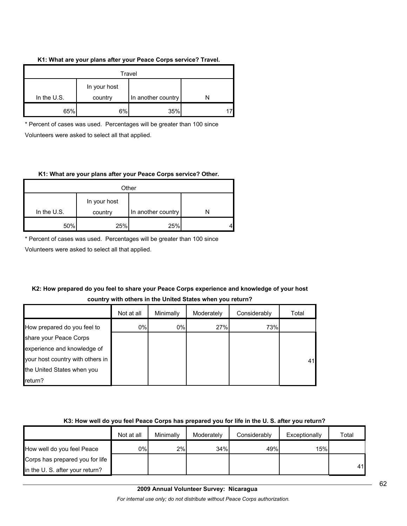#### **K1: What are your plans after your Peace Corps service? Travel.**

| Travel        |                                               |     |  |  |
|---------------|-----------------------------------------------|-----|--|--|
| In the $U.S.$ | In your host<br>In another country<br>country |     |  |  |
| 65%           | 6%                                            | 35% |  |  |

\* Percent of cases was used. Percentages will be greater than 100 since Volunteers were asked to select all that applied.

## **K1: What are your plans after your Peace Corps service? Other.**

| Other         |              |                    |  |
|---------------|--------------|--------------------|--|
|               | In your host |                    |  |
| In the $U.S.$ | country      | In another country |  |
| 50%           | 25%          | 25%                |  |

\* Percent of cases was used. Percentages will be greater than 100 since

Volunteers were asked to select all that applied.

# **K2: How prepared do you feel to share your Peace Corps experience and knowledge of your host country with others in the United States when you return?**

|                                  | Not at all | Minimally | Moderately | Considerably | Total |
|----------------------------------|------------|-----------|------------|--------------|-------|
| How prepared do you feel to      | 0%         | 0%        | 27%        | 73%          |       |
| share your Peace Corps           |            |           |            |              |       |
| experience and knowledge of      |            |           |            |              |       |
| your host country with others in |            |           |            |              | 41    |
| the United States when you       |            |           |            |              |       |
| return?                          |            |           |            |              |       |

# **K3: How well do you feel Peace Corps has prepared you for life in the U. S. after you return?**

|                                 | Not at all | Minimally | Moderately | Considerably | Exceptionally | Total |
|---------------------------------|------------|-----------|------------|--------------|---------------|-------|
| How well do you feel Peace      | 0%l        | 2%        | 34%        | 49%          | 15%           |       |
| Corps has prepared you for life |            |           |            |              |               |       |
| in the U. S. after your return? |            |           |            |              |               | 41    |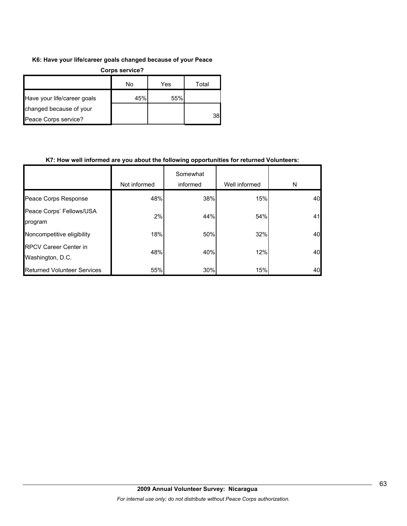## **K6: Have your life/career goals changed because of your Peace**

| Corps service?              |     |     |       |  |  |
|-----------------------------|-----|-----|-------|--|--|
|                             | No  | Yes | Total |  |  |
| Have your life/career goals | 45% | 55% |       |  |  |
| changed because of your     |     |     |       |  |  |
| Peace Corps service?        |     |     | 38    |  |  |

## **K7: How well informed are you about the following opportunities for returned Volunteers:**

|                                                  | Not informed | Somewhat<br>informed | Well informed | N  |
|--------------------------------------------------|--------------|----------------------|---------------|----|
| Peace Corps Response                             | 48%          | 38%                  | 15%           | 40 |
| Peace Corps' Fellows/USA<br>program              | 2%           | 44%                  | 54%           | 41 |
| Noncompetitive eligibility                       | 18%          | 50%                  | 32%           | 40 |
| <b>RPCV Career Center in</b><br>Washington, D.C. | 48%          | 40%                  | 12%           | 40 |
| <b>Returned Volunteer Services</b>               | 55%          | 30%                  | 15%           | 40 |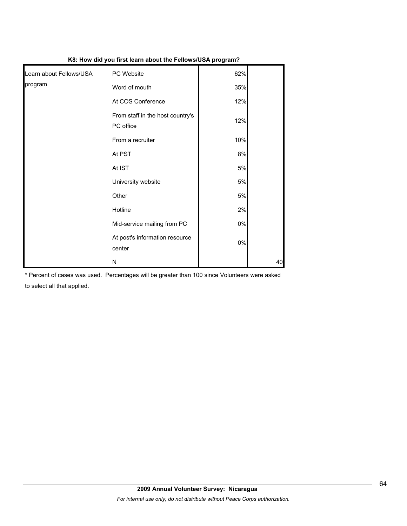| .                       |                                               | . <b>.</b> |    |
|-------------------------|-----------------------------------------------|------------|----|
| Learn about Fellows/USA | PC Website                                    | 62%        |    |
| program                 | Word of mouth                                 | 35%        |    |
|                         | At COS Conference                             | 12%        |    |
|                         | From staff in the host country's<br>PC office | 12%        |    |
|                         | From a recruiter                              | 10%        |    |
|                         | At PST                                        | 8%         |    |
|                         | At IST                                        | 5%         |    |
|                         | University website                            | 5%         |    |
|                         | Other                                         | 5%         |    |
|                         | Hotline                                       | 2%         |    |
|                         | Mid-service mailing from PC                   | $0\%$      |    |
|                         | At post's information resource<br>center      | $0\%$      |    |
|                         | N                                             |            | 40 |

**K8: How did you first learn about the Fellows/USA program?**

\* Percent of cases was used. Percentages will be greater than 100 since Volunteers were asked to select all that applied.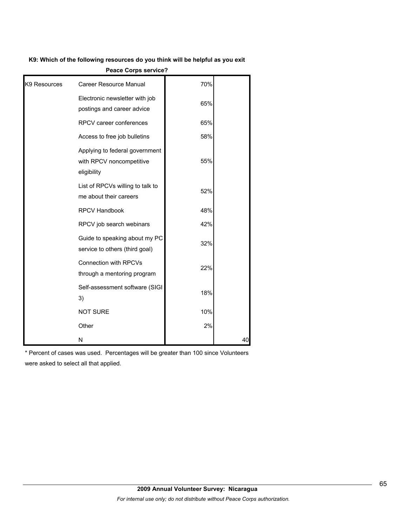#### **K9: Which of the following resources do you think will be helpful as you exit**

| K9: Which of the following resources do you think will be helpful as you exit |                                                                           |     |    |
|-------------------------------------------------------------------------------|---------------------------------------------------------------------------|-----|----|
|                                                                               | <b>Peace Corps service?</b>                                               |     |    |
| K9 Resources                                                                  | Career Resource Manual                                                    | 70% |    |
|                                                                               | Electronic newsletter with job<br>postings and career advice              | 65% |    |
|                                                                               | RPCV career conferences                                                   | 65% |    |
|                                                                               | Access to free job bulletins                                              | 58% |    |
|                                                                               | Applying to federal government<br>with RPCV noncompetitive<br>eligibility | 55% |    |
|                                                                               | List of RPCVs willing to talk to<br>me about their careers                | 52% |    |
|                                                                               | RPCV Handbook                                                             | 48% |    |
|                                                                               | RPCV job search webinars                                                  | 42% |    |
|                                                                               | Guide to speaking about my PC<br>service to others (third goal)           | 32% |    |
|                                                                               | <b>Connection with RPCVs</b><br>through a mentoring program               | 22% |    |
|                                                                               | Self-assessment software (SIGI<br>3)                                      | 18% |    |
|                                                                               | <b>NOT SURE</b>                                                           | 10% |    |
|                                                                               | Other                                                                     | 2%  |    |
|                                                                               | N                                                                         |     | 40 |

\* Percent of cases was used. Percentages will be greater than 100 since Volunteers were asked to select all that applied.